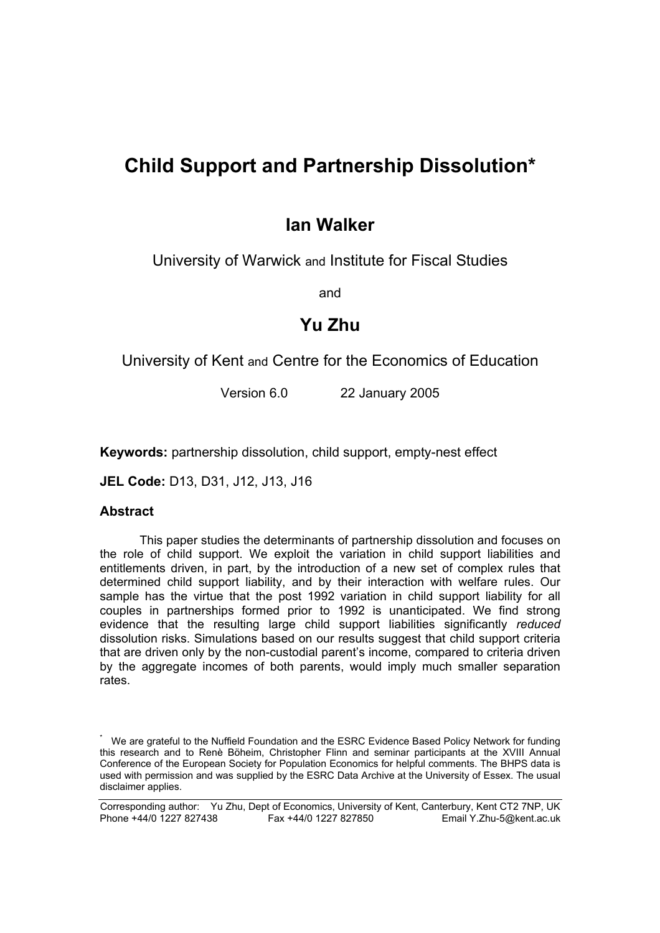# **Child Support and Partnership Dissolution\***

## **Ian Walker**

University of Warwick and Institute for Fiscal Studies

and

## **Yu Zhu**

University of Kent and Centre for the Economics of Education

Version 6.0 22 January 2005

**Keywords:** partnership dissolution, child support, empty-nest effect

**JEL Code:** D13, D31, J12, J13, J16

### **Abstract**

This paper studies the determinants of partnership dissolution and focuses on the role of child support. We exploit the variation in child support liabilities and entitlements driven, in part, by the introduction of a new set of complex rules that determined child support liability, and by their interaction with welfare rules. Our sample has the virtue that the post 1992 variation in child support liability for all couples in partnerships formed prior to 1992 is unanticipated. We find strong evidence that the resulting large child support liabilities significantly *reduced* dissolution risks. Simulations based on our results suggest that child support criteria that are driven only by the non-custodial parent's income, compared to criteria driven by the aggregate incomes of both parents, would imply much smaller separation rates.

<sup>\*</sup> We are grateful to the Nuffield Foundation and the ESRC Evidence Based Policy Network for funding this research and to Renè Böheim, Christopher Flinn and seminar participants at the XVIII Annual Conference of the European Society for Population Economics for helpful comments. The BHPS data is used with permission and was supplied by the ESRC Data Archive at the University of Essex. The usual disclaimer applies.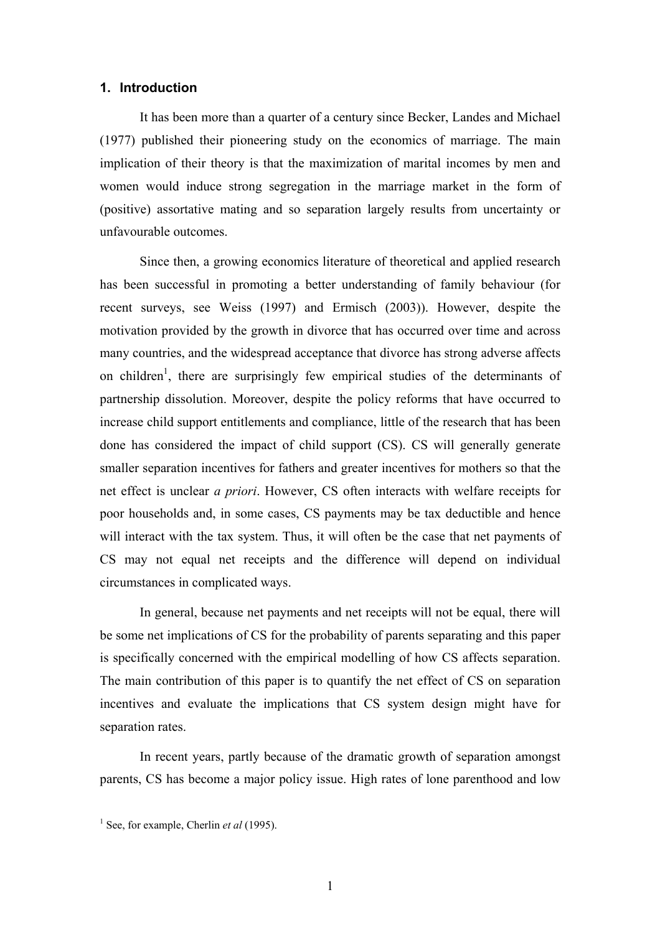### **1. Introduction**

It has been more than a quarter of a century since Becker, Landes and Michael (1977) published their pioneering study on the economics of marriage. The main implication of their theory is that the maximization of marital incomes by men and women would induce strong segregation in the marriage market in the form of (positive) assortative mating and so separation largely results from uncertainty or unfavourable outcomes.

Since then, a growing economics literature of theoretical and applied research has been successful in promoting a better understanding of family behaviour (for recent surveys, see Weiss (1997) and Ermisch (2003)). However, despite the motivation provided by the growth in divorce that has occurred over time and across many countries, and the widespread acceptance that divorce has strong adverse affects on children<sup>1</sup>, there are surprisingly few empirical studies of the determinants of partnership dissolution. Moreover, despite the policy reforms that have occurred to increase child support entitlements and compliance, little of the research that has been done has considered the impact of child support (CS). CS will generally generate smaller separation incentives for fathers and greater incentives for mothers so that the net effect is unclear *a priori*. However, CS often interacts with welfare receipts for poor households and, in some cases, CS payments may be tax deductible and hence will interact with the tax system. Thus, it will often be the case that net payments of CS may not equal net receipts and the difference will depend on individual circumstances in complicated ways.

In general, because net payments and net receipts will not be equal, there will be some net implications of CS for the probability of parents separating and this paper is specifically concerned with the empirical modelling of how CS affects separation. The main contribution of this paper is to quantify the net effect of CS on separation incentives and evaluate the implications that CS system design might have for separation rates.

In recent years, partly because of the dramatic growth of separation amongst parents, CS has become a major policy issue. High rates of lone parenthood and low

<sup>&</sup>lt;sup>1</sup> See, for example, Cherlin *et al* (1995).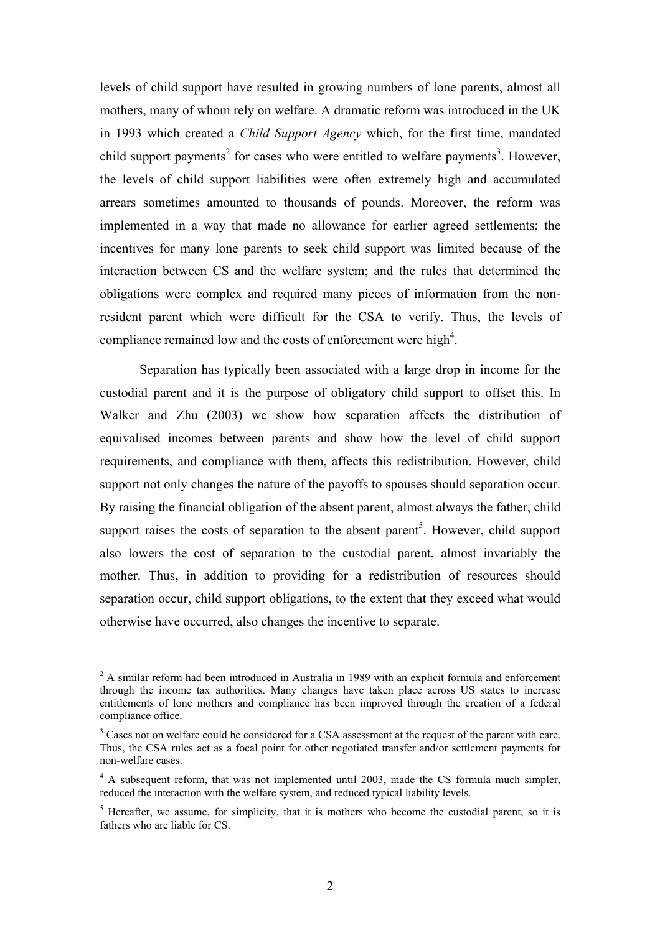levels of child support have resulted in growing numbers of lone parents, almost all mothers, many of whom rely on welfare. A dramatic reform was introduced in the UK in 1993 which created a *Child Support Agency* which, for the first time, mandated child support payments<sup>2</sup> for cases who were entitled to welfare payments<sup>3</sup>. However, the levels of child support liabilities were often extremely high and accumulated arrears sometimes amounted to thousands of pounds. Moreover, the reform was implemented in a way that made no allowance for earlier agreed settlements; the incentives for many lone parents to seek child support was limited because of the interaction between CS and the welfare system; and the rules that determined the obligations were complex and required many pieces of information from the nonresident parent which were difficult for the CSA to verify. Thus, the levels of compliance remained low and the costs of enforcement were high<sup>4</sup>.

Separation has typically been associated with a large drop in income for the custodial parent and it is the purpose of obligatory child support to offset this. In Walker and Zhu (2003) we show how separation affects the distribution of equivalised incomes between parents and show how the level of child support requirements, and compliance with them, affects this redistribution. However, child support not only changes the nature of the payoffs to spouses should separation occur. By raising the financial obligation of the absent parent, almost always the father, child support raises the costs of separation to the absent parent<sup>5</sup>. However, child support also lowers the cost of separation to the custodial parent, almost invariably the mother. Thus, in addition to providing for a redistribution of resources should separation occur, child support obligations, to the extent that they exceed what would otherwise have occurred, also changes the incentive to separate.

 $2 A$  similar reform had been introduced in Australia in 1989 with an explicit formula and enforcement through the income tax authorities. Many changes have taken place across US states to increase entitlements of lone mothers and compliance has been improved through the creation of a federal compliance office.

<sup>&</sup>lt;sup>3</sup> Cases not on welfare could be considered for a CSA assessment at the request of the parent with care. Thus, the CSA rules act as a focal point for other negotiated transfer and/or settlement payments for non-welfare cases.

<sup>&</sup>lt;sup>4</sup> A subsequent reform, that was not implemented until 2003, made the CS formula much simpler, reduced the interaction with the welfare system, and reduced typical liability levels.

<sup>&</sup>lt;sup>5</sup> Hereafter, we assume, for simplicity, that it is mothers who become the custodial parent, so it is fathers who are liable for CS.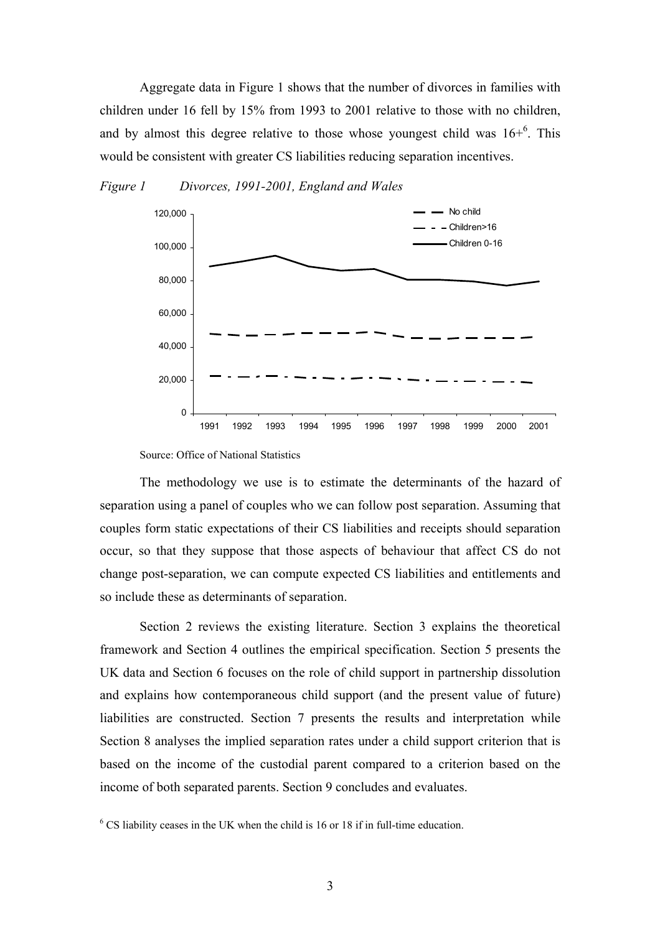Aggregate data in Figure 1 shows that the number of divorces in families with children under 16 fell by 15% from 1993 to 2001 relative to those with no children, and by almost this degree relative to those whose youngest child was  $16<sup>+</sup>$ <sup>6</sup>. This would be consistent with greater CS liabilities reducing separation incentives.





Source: Office of National Statistics

The methodology we use is to estimate the determinants of the hazard of separation using a panel of couples who we can follow post separation. Assuming that couples form static expectations of their CS liabilities and receipts should separation occur, so that they suppose that those aspects of behaviour that affect CS do not change post-separation, we can compute expected CS liabilities and entitlements and so include these as determinants of separation.

Section 2 reviews the existing literature. Section 3 explains the theoretical framework and Section 4 outlines the empirical specification. Section 5 presents the UK data and Section 6 focuses on the role of child support in partnership dissolution and explains how contemporaneous child support (and the present value of future) liabilities are constructed. Section 7 presents the results and interpretation while Section 8 analyses the implied separation rates under a child support criterion that is based on the income of the custodial parent compared to a criterion based on the income of both separated parents. Section 9 concludes and evaluates.

 $6$  CS liability ceases in the UK when the child is 16 or 18 if in full-time education.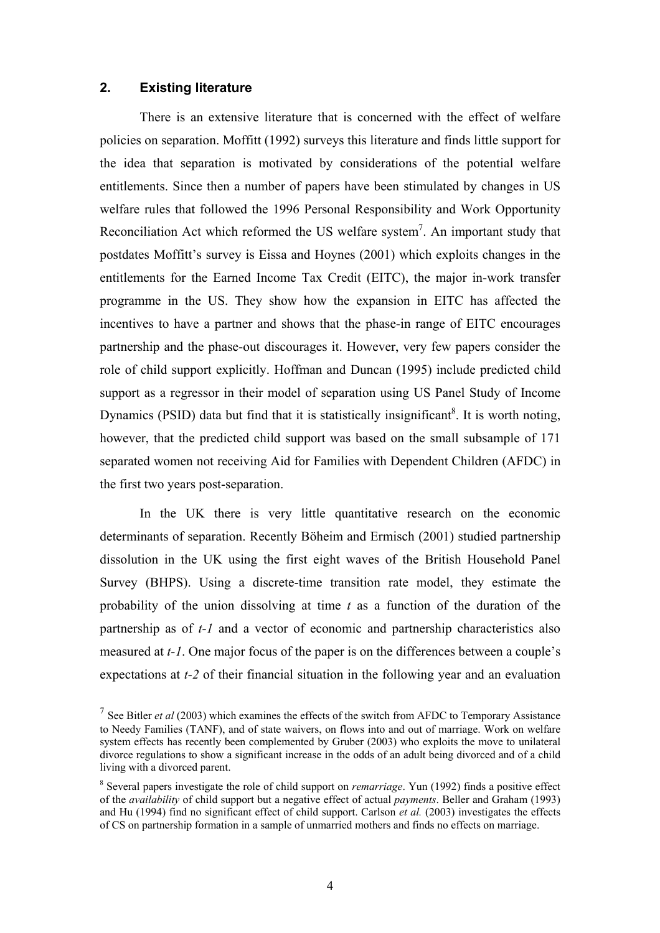#### **2. Existing literature**

 There is an extensive literature that is concerned with the effect of welfare policies on separation. Moffitt (1992) surveys this literature and finds little support for the idea that separation is motivated by considerations of the potential welfare entitlements. Since then a number of papers have been stimulated by changes in US welfare rules that followed the 1996 Personal Responsibility and Work Opportunity Reconciliation Act which reformed the US welfare system<sup>7</sup>. An important study that postdates Moffitt's survey is Eissa and Hoynes (2001) which exploits changes in the entitlements for the Earned Income Tax Credit (EITC), the major in-work transfer programme in the US. They show how the expansion in EITC has affected the incentives to have a partner and shows that the phase-in range of EITC encourages partnership and the phase-out discourages it. However, very few papers consider the role of child support explicitly. Hoffman and Duncan (1995) include predicted child support as a regressor in their model of separation using US Panel Study of Income Dynamics (PSID) data but find that it is statistically insignificant<sup>8</sup>. It is worth noting, however, that the predicted child support was based on the small subsample of 171 separated women not receiving Aid for Families with Dependent Children (AFDC) in the first two years post-separation.

 In the UK there is very little quantitative research on the economic determinants of separation. Recently Böheim and Ermisch (2001) studied partnership dissolution in the UK using the first eight waves of the British Household Panel Survey (BHPS). Using a discrete-time transition rate model, they estimate the probability of the union dissolving at time *t* as a function of the duration of the partnership as of *t-1* and a vector of economic and partnership characteristics also measured at *t-1*. One major focus of the paper is on the differences between a couple's expectations at *t-2* of their financial situation in the following year and an evaluation

<sup>7</sup> See Bitler *et al* (2003) which examines the effects of the switch from AFDC to Temporary Assistance to Needy Families (TANF), and of state waivers, on flows into and out of marriage. Work on welfare system effects has recently been complemented by Gruber (2003) who exploits the move to unilateral divorce regulations to show a significant increase in the odds of an adult being divorced and of a child living with a divorced parent.

<sup>8</sup> Several papers investigate the role of child support on *remarriage*. Yun (1992) finds a positive effect of the *availability* of child support but a negative effect of actual *payments*. Beller and Graham (1993) and Hu (1994) find no significant effect of child support. Carlson *et al.* (2003) investigates the effects of CS on partnership formation in a sample of unmarried mothers and finds no effects on marriage.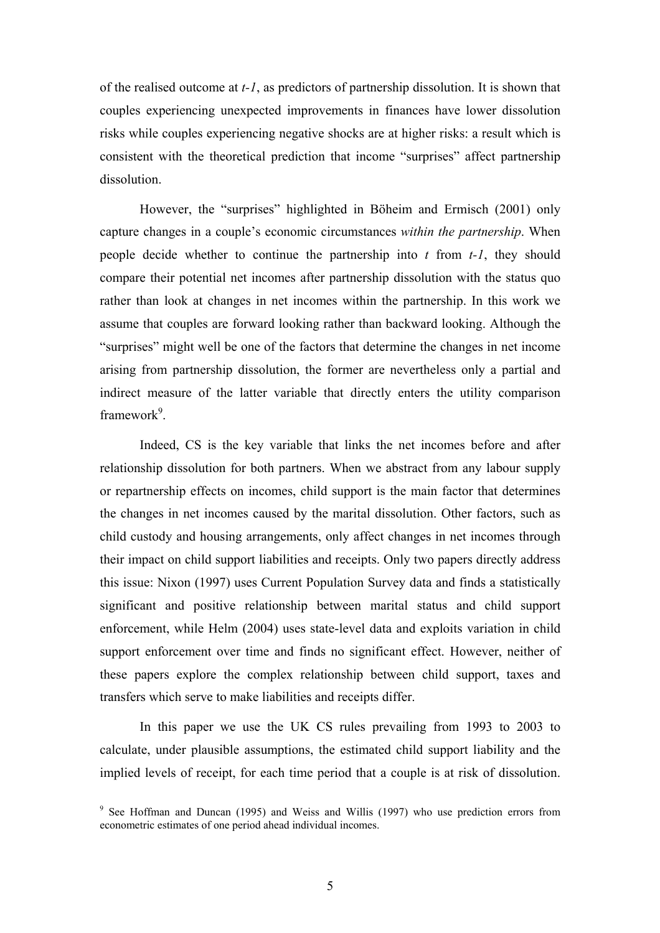of the realised outcome at *t-1*, as predictors of partnership dissolution. It is shown that couples experiencing unexpected improvements in finances have lower dissolution risks while couples experiencing negative shocks are at higher risks: a result which is consistent with the theoretical prediction that income "surprises" affect partnership dissolution.

However, the "surprises" highlighted in Böheim and Ermisch (2001) only capture changes in a couple's economic circumstances *within the partnership*. When people decide whether to continue the partnership into *t* from *t-1*, they should compare their potential net incomes after partnership dissolution with the status quo rather than look at changes in net incomes within the partnership. In this work we assume that couples are forward looking rather than backward looking. Although the "surprises" might well be one of the factors that determine the changes in net income arising from partnership dissolution, the former are nevertheless only a partial and indirect measure of the latter variable that directly enters the utility comparison framework<sup>9</sup>.

Indeed, CS is the key variable that links the net incomes before and after relationship dissolution for both partners. When we abstract from any labour supply or repartnership effects on incomes, child support is the main factor that determines the changes in net incomes caused by the marital dissolution. Other factors, such as child custody and housing arrangements, only affect changes in net incomes through their impact on child support liabilities and receipts. Only two papers directly address this issue: Nixon (1997) uses Current Population Survey data and finds a statistically significant and positive relationship between marital status and child support enforcement, while Helm (2004) uses state-level data and exploits variation in child support enforcement over time and finds no significant effect. However, neither of these papers explore the complex relationship between child support, taxes and transfers which serve to make liabilities and receipts differ.

In this paper we use the UK CS rules prevailing from 1993 to 2003 to calculate, under plausible assumptions, the estimated child support liability and the implied levels of receipt, for each time period that a couple is at risk of dissolution.

<sup>&</sup>lt;sup>9</sup> See Hoffman and Duncan (1995) and Weiss and Willis (1997) who use prediction errors from econometric estimates of one period ahead individual incomes.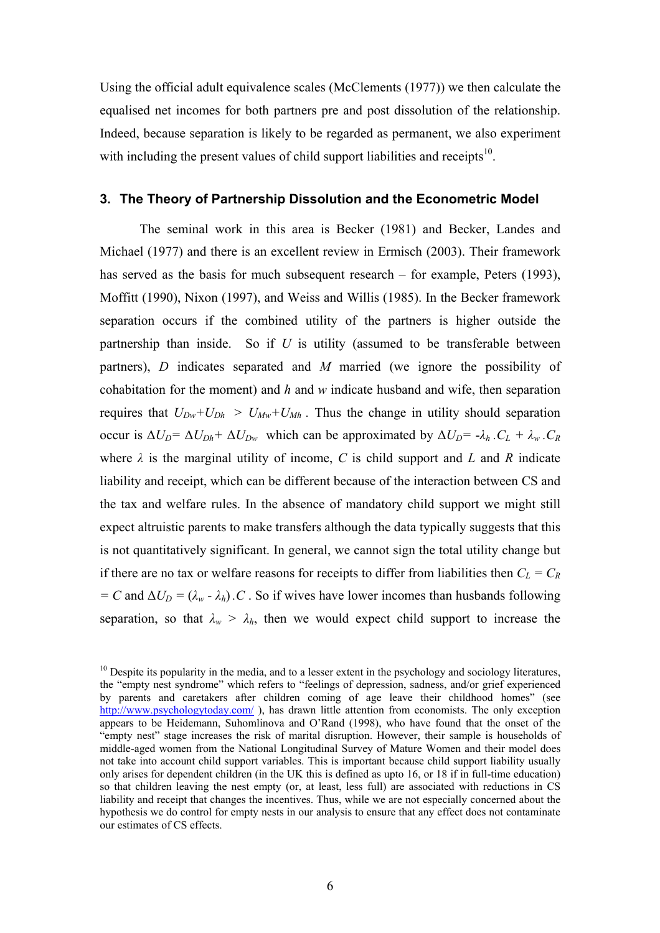Using the official adult equivalence scales (McClements (1977)) we then calculate the equalised net incomes for both partners pre and post dissolution of the relationship. Indeed, because separation is likely to be regarded as permanent, we also experiment with including the present values of child support liabilities and receipts<sup>10</sup>.

#### **3. The Theory of Partnership Dissolution and the Econometric Model**

The seminal work in this area is Becker (1981) and Becker, Landes and Michael (1977) and there is an excellent review in Ermisch (2003). Their framework has served as the basis for much subsequent research – for example, Peters (1993), Moffitt (1990), Nixon (1997), and Weiss and Willis (1985). In the Becker framework separation occurs if the combined utility of the partners is higher outside the partnership than inside. So if *U* is utility (assumed to be transferable between partners), *D* indicates separated and *M* married (we ignore the possibility of cohabitation for the moment) and *h* and *w* indicate husband and wife, then separation requires that  $U_{Dw}+U_{Dh} > U_{Mw}+U_{Mh}$ . Thus the change in utility should separation occur is  $\Delta U_D = \Delta U_{Dh} + \Delta U_{Dw}$  which can be approximated by  $\Delta U_D = -\lambda_h$ .  $C_L + \lambda_w$ .  $C_R$ where  $\lambda$  is the marginal utility of income, C is child support and L and R indicate liability and receipt, which can be different because of the interaction between CS and the tax and welfare rules. In the absence of mandatory child support we might still expect altruistic parents to make transfers although the data typically suggests that this is not quantitatively significant. In general, we cannot sign the total utility change but if there are no tax or welfare reasons for receipts to differ from liabilities then  $C_L = C_R$  $= C$  and  $\Delta U_D = (\lambda_w - \lambda_h)$ . C. So if wives have lower incomes than husbands following separation, so that  $\lambda_w > \lambda_h$ , then we would expect child support to increase the

 $10$  Despite its popularity in the media, and to a lesser extent in the psychology and sociology literatures, the "empty nest syndrome" which refers to "feelings of depression, sadness, and/or grief experienced by parents and caretakers after children coming of age leave their childhood homes" (see http://www.psychologytoday.com/), has drawn little attention from economists. The only exception appears to be Heidemann, Suhomlinova and O'Rand (1998), who have found that the onset of the "empty nest" stage increases the risk of marital disruption. However, their sample is households of middle-aged women from the National Longitudinal Survey of Mature Women and their model does not take into account child support variables. This is important because child support liability usually only arises for dependent children (in the UK this is defined as upto 16, or 18 if in full-time education) so that children leaving the nest empty (or, at least, less full) are associated with reductions in CS liability and receipt that changes the incentives. Thus, while we are not especially concerned about the hypothesis we do control for empty nests in our analysis to ensure that any effect does not contaminate our estimates of CS effects.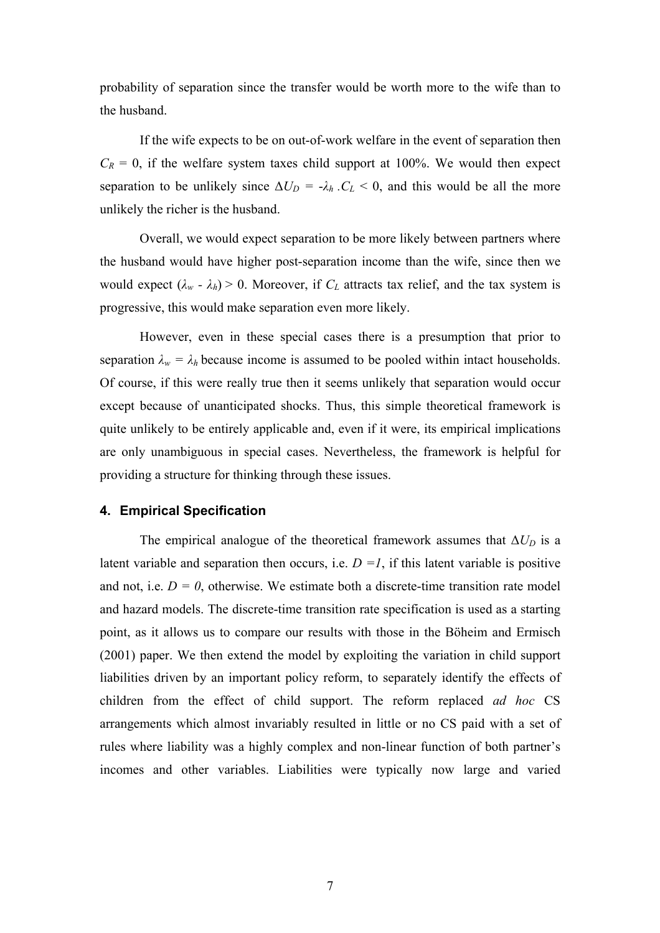probability of separation since the transfer would be worth more to the wife than to the husband.

If the wife expects to be on out-of-work welfare in the event of separation then  $C_R = 0$ , if the welfare system taxes child support at 100%. We would then expect separation to be unlikely since  $\Delta U_D = -\lambda_h$ .  $C_L < 0$ , and this would be all the more unlikely the richer is the husband.

Overall, we would expect separation to be more likely between partners where the husband would have higher post-separation income than the wife, since then we would expect  $(\lambda_w - \lambda_h) > 0$ . Moreover, if  $C_L$  attracts tax relief, and the tax system is progressive, this would make separation even more likely.

However, even in these special cases there is a presumption that prior to separation  $\lambda_w = \lambda_h$  because income is assumed to be pooled within intact households. Of course, if this were really true then it seems unlikely that separation would occur except because of unanticipated shocks. Thus, this simple theoretical framework is quite unlikely to be entirely applicable and, even if it were, its empirical implications are only unambiguous in special cases. Nevertheless, the framework is helpful for providing a structure for thinking through these issues.

### **4. Empirical Specification**

The empirical analogue of the theoretical framework assumes that  $\Delta U_D$  is a latent variable and separation then occurs, i.e.  $D = I$ , if this latent variable is positive and not, i.e.  $D = 0$ , otherwise. We estimate both a discrete-time transition rate model and hazard models. The discrete-time transition rate specification is used as a starting point, as it allows us to compare our results with those in the Böheim and Ermisch (2001) paper. We then extend the model by exploiting the variation in child support liabilities driven by an important policy reform, to separately identify the effects of children from the effect of child support. The reform replaced *ad hoc* CS arrangements which almost invariably resulted in little or no CS paid with a set of rules where liability was a highly complex and non-linear function of both partner's incomes and other variables. Liabilities were typically now large and varied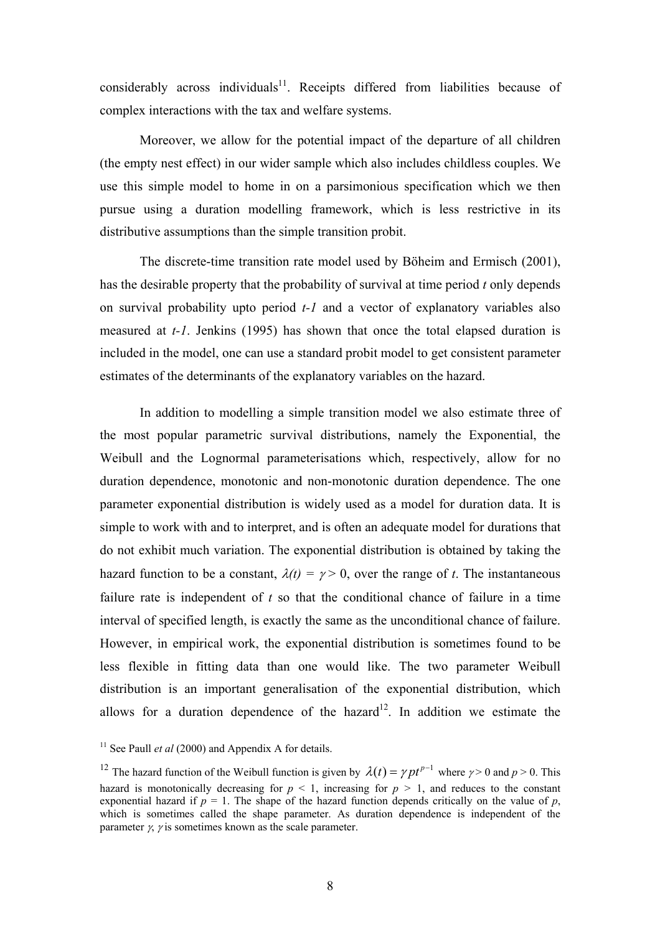$\cos$ iderably across individuals<sup>11</sup>. Receipts differed from liabilities because of complex interactions with the tax and welfare systems.

Moreover, we allow for the potential impact of the departure of all children (the empty nest effect) in our wider sample which also includes childless couples. We use this simple model to home in on a parsimonious specification which we then pursue using a duration modelling framework, which is less restrictive in its distributive assumptions than the simple transition probit.

The discrete-time transition rate model used by Böheim and Ermisch (2001), has the desirable property that the probability of survival at time period *t* only depends on survival probability upto period *t-1* and a vector of explanatory variables also measured at *t-1*. Jenkins (1995) has shown that once the total elapsed duration is included in the model, one can use a standard probit model to get consistent parameter estimates of the determinants of the explanatory variables on the hazard.

In addition to modelling a simple transition model we also estimate three of the most popular parametric survival distributions, namely the Exponential, the Weibull and the Lognormal parameterisations which, respectively, allow for no duration dependence, monotonic and non-monotonic duration dependence. The one parameter exponential distribution is widely used as a model for duration data. It is simple to work with and to interpret, and is often an adequate model for durations that do not exhibit much variation. The exponential distribution is obtained by taking the hazard function to be a constant,  $\lambda(t) = \gamma > 0$ , over the range of *t*. The instantaneous failure rate is independent of *t* so that the conditional chance of failure in a time interval of specified length, is exactly the same as the unconditional chance of failure. However, in empirical work, the exponential distribution is sometimes found to be less flexible in fitting data than one would like. The two parameter Weibull distribution is an important generalisation of the exponential distribution, which allows for a duration dependence of the hazard<sup>12</sup>. In addition we estimate the

<sup>&</sup>lt;sup>11</sup> See Paull *et al* (2000) and Appendix A for details.

<sup>&</sup>lt;sup>12</sup> The hazard function of the Weibull function is given by  $\lambda(t) = \gamma pt^{p-1}$  where  $\gamma > 0$  and  $p > 0$ . This hazard is monotonically decreasing for  $p \le 1$ , increasing for  $p \ge 1$ , and reduces to the constant exponential hazard if  $p = 1$ . The shape of the hazard function depends critically on the value of *p*, which is sometimes called the shape parameter. As duration dependence is independent of the parameter  $\gamma$ ,  $\gamma$  is sometimes known as the scale parameter.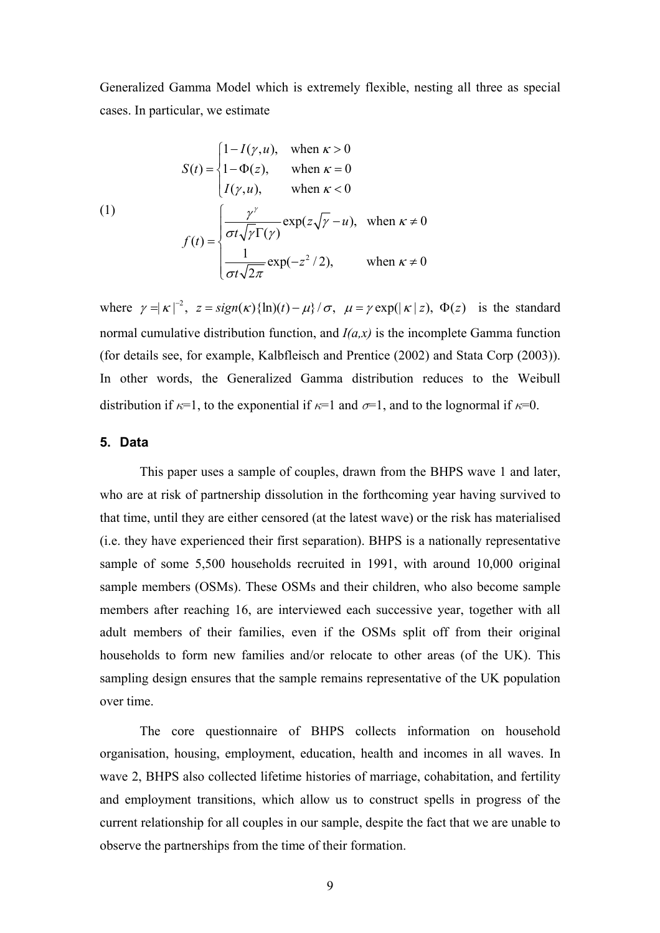Generalized Gamma Model which is extremely flexible, nesting all three as special cases. In particular, we estimate

(1)  
\n
$$
S(t) = \begin{cases}\n1 - I(\gamma, u), & \text{when } \kappa > 0 \\
1 - \Phi(z), & \text{when } \kappa = 0\n\end{cases}
$$
\n
$$
I(\gamma, u), \qquad \text{when } \kappa < 0
$$
\n
$$
f(t) = \begin{cases}\n\frac{\gamma^{\gamma}}{\sigma t \sqrt{\gamma} \Gamma(\gamma)} \exp(z \sqrt{\gamma} - u), & \text{when } \kappa \neq 0 \\
\frac{1}{\sigma t \sqrt{2\pi}} \exp(-z^2/2), & \text{when } \kappa \neq 0\n\end{cases}
$$

where  $\gamma = |\kappa|^2$ ,  $z = sign(\kappa)\{\ln(t) - \mu\}/\sigma$ ,  $\mu = \gamma \exp(|\kappa|z)$ ,  $\Phi(z)$  is the standard normal cumulative distribution function, and  $I(a,x)$  is the incomplete Gamma function (for details see, for example, Kalbfleisch and Prentice (2002) and Stata Corp (2003)). In other words, the Generalized Gamma distribution reduces to the Weibull distribution if  $\kappa=1$ , to the exponential if  $\kappa=1$  and  $\sigma=1$ , and to the lognormal if  $\kappa=0$ .

#### **5. Data**

This paper uses a sample of couples, drawn from the BHPS wave 1 and later, who are at risk of partnership dissolution in the forthcoming year having survived to that time, until they are either censored (at the latest wave) or the risk has materialised (i.e. they have experienced their first separation). BHPS is a nationally representative sample of some 5,500 households recruited in 1991, with around 10,000 original sample members (OSMs). These OSMs and their children, who also become sample members after reaching 16, are interviewed each successive year, together with all adult members of their families, even if the OSMs split off from their original households to form new families and/or relocate to other areas (of the UK). This sampling design ensures that the sample remains representative of the UK population over time.

The core questionnaire of BHPS collects information on household organisation, housing, employment, education, health and incomes in all waves. In wave 2, BHPS also collected lifetime histories of marriage, cohabitation, and fertility and employment transitions, which allow us to construct spells in progress of the current relationship for all couples in our sample, despite the fact that we are unable to observe the partnerships from the time of their formation.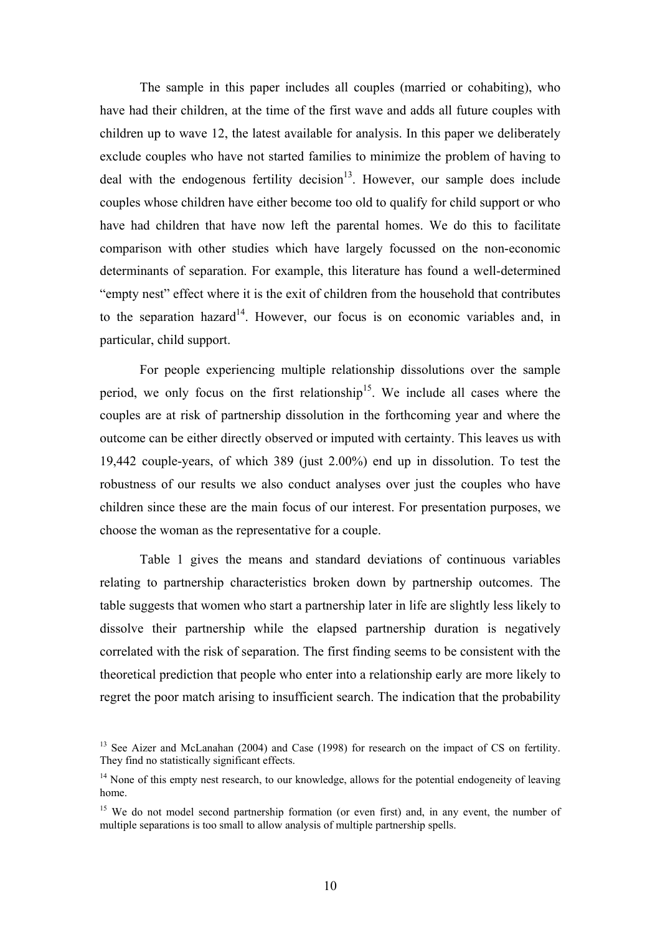The sample in this paper includes all couples (married or cohabiting), who have had their children, at the time of the first wave and adds all future couples with children up to wave 12, the latest available for analysis. In this paper we deliberately exclude couples who have not started families to minimize the problem of having to deal with the endogenous fertility decision<sup>13</sup>. However, our sample does include couples whose children have either become too old to qualify for child support or who have had children that have now left the parental homes. We do this to facilitate comparison with other studies which have largely focussed on the non-economic determinants of separation. For example, this literature has found a well-determined "empty nest" effect where it is the exit of children from the household that contributes to the separation hazard<sup>14</sup>. However, our focus is on economic variables and, in particular, child support.

For people experiencing multiple relationship dissolutions over the sample period, we only focus on the first relationship<sup>15</sup>. We include all cases where the couples are at risk of partnership dissolution in the forthcoming year and where the outcome can be either directly observed or imputed with certainty. This leaves us with 19,442 couple-years, of which 389 (just 2.00%) end up in dissolution. To test the robustness of our results we also conduct analyses over just the couples who have children since these are the main focus of our interest. For presentation purposes, we choose the woman as the representative for a couple.

Table 1 gives the means and standard deviations of continuous variables relating to partnership characteristics broken down by partnership outcomes. The table suggests that women who start a partnership later in life are slightly less likely to dissolve their partnership while the elapsed partnership duration is negatively correlated with the risk of separation. The first finding seems to be consistent with the theoretical prediction that people who enter into a relationship early are more likely to regret the poor match arising to insufficient search. The indication that the probability

<sup>&</sup>lt;sup>13</sup> See Aizer and McLanahan (2004) and Case (1998) for research on the impact of CS on fertility. They find no statistically significant effects.

<sup>&</sup>lt;sup>14</sup> None of this empty nest research, to our knowledge, allows for the potential endogeneity of leaving home.

<sup>&</sup>lt;sup>15</sup> We do not model second partnership formation (or even first) and, in any event, the number of multiple separations is too small to allow analysis of multiple partnership spells.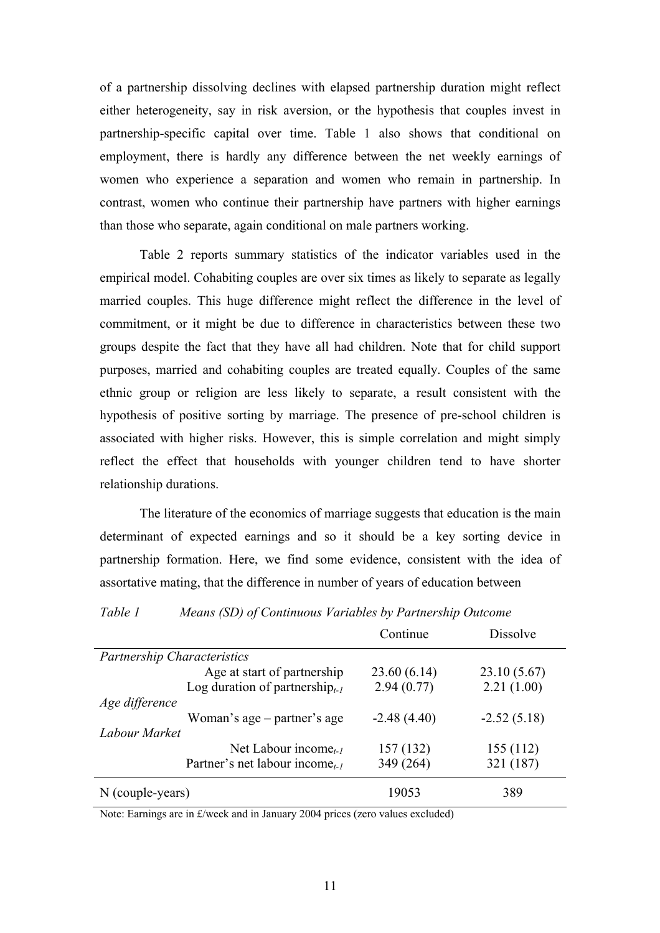of a partnership dissolving declines with elapsed partnership duration might reflect either heterogeneity, say in risk aversion, or the hypothesis that couples invest in partnership-specific capital over time. Table 1 also shows that conditional on employment, there is hardly any difference between the net weekly earnings of women who experience a separation and women who remain in partnership. In contrast, women who continue their partnership have partners with higher earnings than those who separate, again conditional on male partners working.

Table 2 reports summary statistics of the indicator variables used in the empirical model. Cohabiting couples are over six times as likely to separate as legally married couples. This huge difference might reflect the difference in the level of commitment, or it might be due to difference in characteristics between these two groups despite the fact that they have all had children. Note that for child support purposes, married and cohabiting couples are treated equally. Couples of the same ethnic group or religion are less likely to separate, a result consistent with the hypothesis of positive sorting by marriage. The presence of pre-school children is associated with higher risks. However, this is simple correlation and might simply reflect the effect that households with younger children tend to have shorter relationship durations.

The literature of the economics of marriage suggests that education is the main determinant of expected earnings and so it should be a key sorting device in partnership formation. Here, we find some evidence, consistent with the idea of assortative mating, that the difference in number of years of education between

### *Table 1 Means (SD) of Continuous Variables by Partnership Outcome*

|                                                                | Continue      | Dissolve      |
|----------------------------------------------------------------|---------------|---------------|
| <b>Partnership Characteristics</b>                             |               |               |
| Age at start of partnership                                    | 23.60(6.14)   | 23.10(5.67)   |
| Log duration of partnership $_{t-1}$                           | 2.94(0.77)    | 2.21(1.00)    |
| Age difference<br>Woman's age – partner's age<br>Labour Market | $-2.48(4.40)$ | $-2.52(5.18)$ |
| Net Labour income <sub>t-1</sub>                               | 157 (132)     | 155(112)      |
| Partner's net labour income <sub>t-1</sub>                     | 349 (264)     | 321 (187)     |
| N (couple-years)                                               | 19053         | 389           |

Note: Earnings are in £/week and in January 2004 prices (zero values excluded)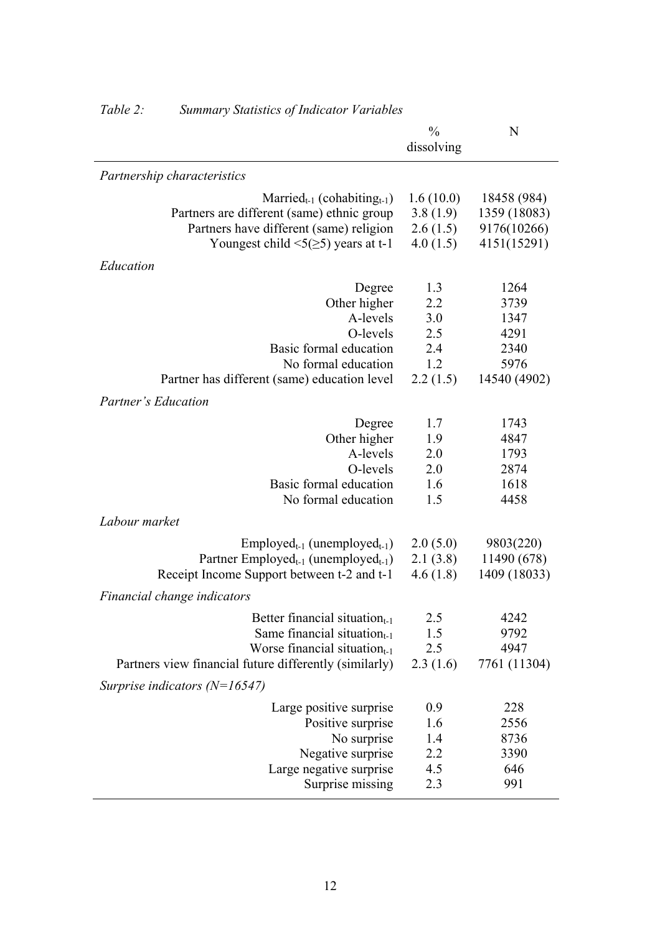|                                                              | $\frac{0}{0}$ | N            |
|--------------------------------------------------------------|---------------|--------------|
|                                                              | dissolving    |              |
| Partnership characteristics                                  |               |              |
| $Married_{t-1}$ (cohabiting <sub>t-1</sub> )                 | 1.6(10.0)     | 18458 (984)  |
| Partners are different (same) ethnic group                   | 3.8(1.9)      | 1359 (18083) |
| Partners have different (same) religion                      | 2.6(1.5)      | 9176(10266)  |
| Youngest child $\leq 5(\geq 5)$ years at t-1                 | 4.0(1.5)      | 4151(15291)  |
| Education                                                    |               |              |
| Degree                                                       | 1.3           | 1264         |
| Other higher                                                 | 2.2           | 3739         |
| A-levels                                                     | 3.0           | 1347         |
| O-levels                                                     | 2.5           | 4291         |
| Basic formal education                                       | 2.4           | 2340         |
| No formal education                                          | 1.2           | 5976         |
| Partner has different (same) education level                 | 2.2(1.5)      | 14540 (4902) |
| <b>Partner's Education</b>                                   |               |              |
| Degree                                                       | 1.7           | 1743         |
| Other higher                                                 | 1.9           | 4847         |
| A-levels                                                     | 2.0           | 1793         |
| O-levels                                                     | 2.0           | 2874         |
| Basic formal education                                       | 1.6           | 1618         |
| No formal education                                          | 1.5           | 4458         |
| Labour market                                                |               |              |
| $Emploved_{t-1}$ (unemployed <sub>t-1</sub> )                | 2.0(5.0)      | 9803(220)    |
| Partner Employed <sub>t-1</sub> (unemployed <sub>t-1</sub> ) | 2.1(3.8)      | 11490 (678)  |
| Receipt Income Support between t-2 and t-1                   | 4.6(1.8)      | 1409 (18033) |
| Financial change indicators                                  |               |              |
| Better financial situation $_{t-1}$                          | 2.5           | 4242         |
| Same financial situation $_{t-1}$                            | 1.5           | 9792         |
| Worse financial situation $_{t-1}$                           | 2.5           | 4947         |
| Partners view financial future differently (similarly)       | 2.3(1.6)      | 7761 (11304) |
| Surprise indicators $(N=16547)$                              |               |              |
| Large positive surprise                                      | 0.9           | 228          |
| Positive surprise                                            | 1.6           | 2556         |
| No surprise                                                  | 1.4           | 8736         |
| Negative surprise                                            | 2.2           | 3390         |
| Large negative surprise                                      | 4.5           | 646          |
| Surprise missing                                             | 2.3           | 991          |

# *Table 2: Summary Statistics of Indicator Variables*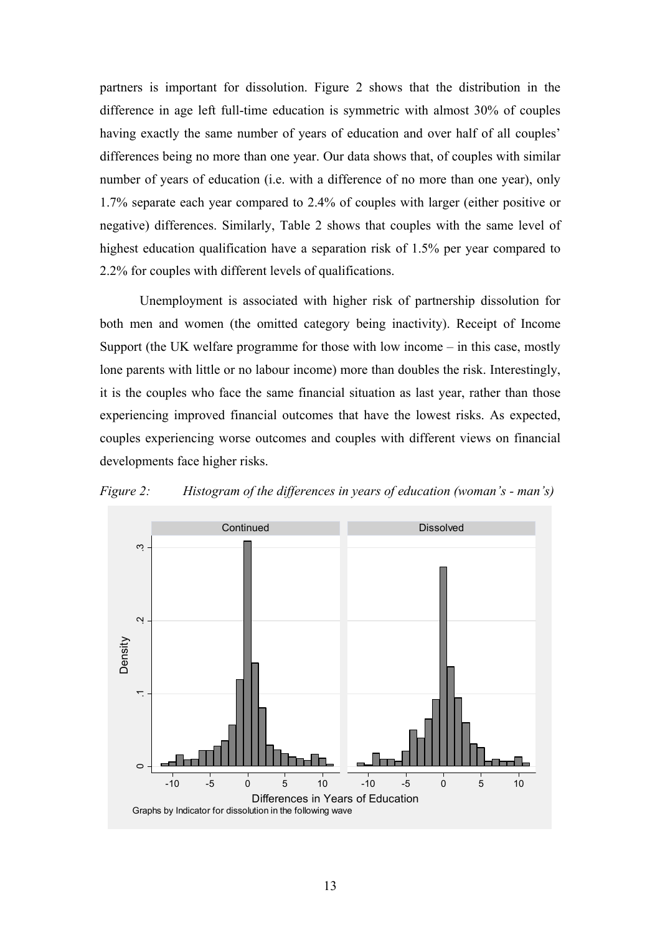partners is important for dissolution. Figure 2 shows that the distribution in the difference in age left full-time education is symmetric with almost 30% of couples having exactly the same number of years of education and over half of all couples' differences being no more than one year. Our data shows that, of couples with similar number of years of education (i.e. with a difference of no more than one year), only 1.7% separate each year compared to 2.4% of couples with larger (either positive or negative) differences. Similarly, Table 2 shows that couples with the same level of highest education qualification have a separation risk of 1.5% per year compared to 2.2% for couples with different levels of qualifications.

Unemployment is associated with higher risk of partnership dissolution for both men and women (the omitted category being inactivity). Receipt of Income Support (the UK welfare programme for those with low income – in this case, mostly lone parents with little or no labour income) more than doubles the risk. Interestingly, it is the couples who face the same financial situation as last year, rather than those experiencing improved financial outcomes that have the lowest risks. As expected, couples experiencing worse outcomes and couples with different views on financial developments face higher risks.



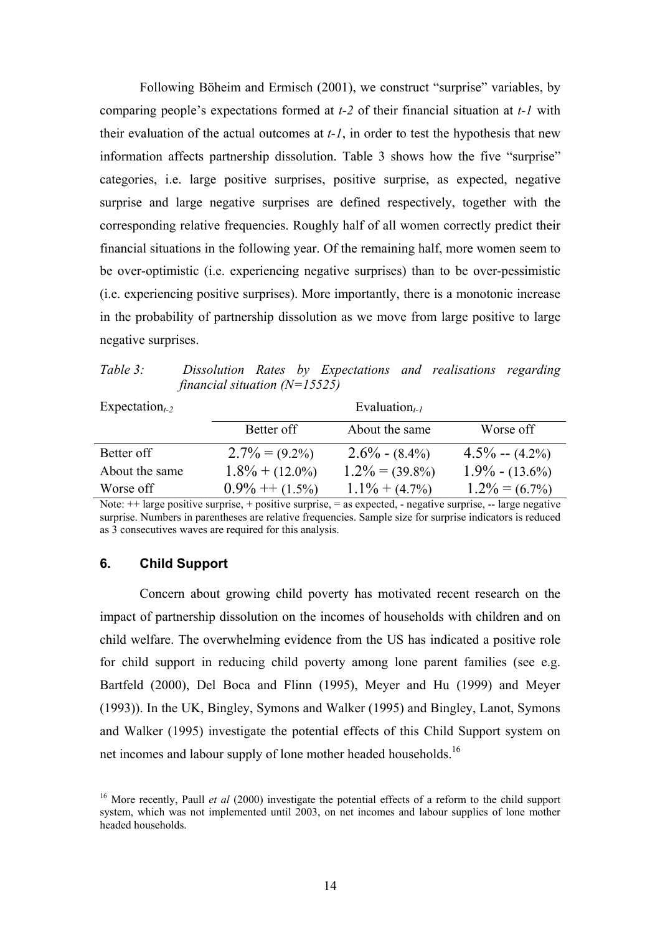Following Böheim and Ermisch (2001), we construct "surprise" variables, by comparing people's expectations formed at *t-2* of their financial situation at *t-1* with their evaluation of the actual outcomes at *t-1*, in order to test the hypothesis that new information affects partnership dissolution. Table 3 shows how the five "surprise" categories, i.e. large positive surprises, positive surprise, as expected, negative surprise and large negative surprises are defined respectively, together with the corresponding relative frequencies. Roughly half of all women correctly predict their financial situations in the following year. Of the remaining half, more women seem to be over-optimistic (i.e. experiencing negative surprises) than to be over-pessimistic (i.e. experiencing positive surprises). More importantly, there is a monotonic increase in the probability of partnership dissolution as we move from large positive to large negative surprises.

| Table 3: |                                   |  | Dissolution Rates by Expectations and realisations regarding |  |  |
|----------|-----------------------------------|--|--------------------------------------------------------------|--|--|
|          | financial situation ( $N=15525$ ) |  |                                                              |  |  |

| Expectation <sub>t-2</sub> |                    | Evaluation <sub><math>t-1</math></sub> |                    |
|----------------------------|--------------------|----------------------------------------|--------------------|
|                            | Better off         | About the same                         | Worse off          |
| Better off                 | $2.7\% = (9.2\%)$  | $2.6\% - (8.4\%)$                      | $4.5\% - (4.2\%)$  |
| About the same             | $1.8\% + (12.0\%)$ | $1.2\% = (39.8\%)$                     | $1.9\% - (13.6\%)$ |
| Worse off                  | $0.9\% + (1.5\%)$  | $1.1\% + (4.7\%)$                      | $1.2\% = (6.7\%)$  |

Note: ++ large positive surprise, + positive surprise, = as expected, - negative surprise, -- large negative surprise. Numbers in parentheses are relative frequencies. Sample size for surprise indicators is reduced as 3 consecutives waves are required for this analysis.

### **6. Child Support**

Concern about growing child poverty has motivated recent research on the impact of partnership dissolution on the incomes of households with children and on child welfare. The overwhelming evidence from the US has indicated a positive role for child support in reducing child poverty among lone parent families (see e.g. Bartfeld (2000), Del Boca and Flinn (1995), Meyer and Hu (1999) and Meyer (1993)). In the UK, Bingley, Symons and Walker (1995) and Bingley, Lanot, Symons and Walker (1995) investigate the potential effects of this Child Support system on net incomes and labour supply of lone mother headed households.<sup>16</sup>

<sup>&</sup>lt;sup>16</sup> More recently. Paull *et al* (2000) investigate the potential effects of a reform to the child support system, which was not implemented until 2003, on net incomes and labour supplies of lone mother headed households.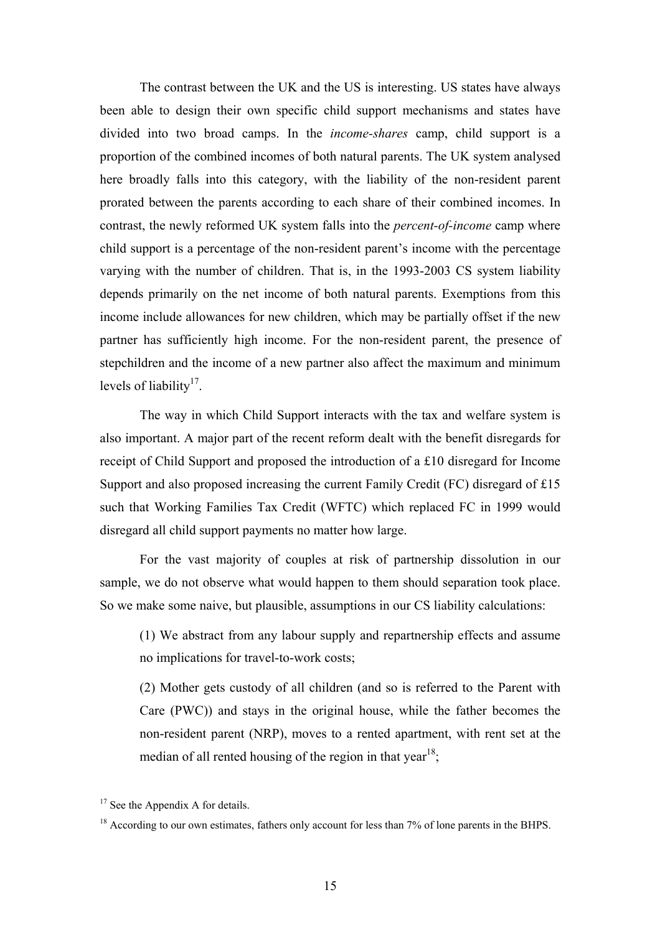The contrast between the UK and the US is interesting. US states have always been able to design their own specific child support mechanisms and states have divided into two broad camps. In the *income-shares* camp, child support is a proportion of the combined incomes of both natural parents. The UK system analysed here broadly falls into this category, with the liability of the non-resident parent prorated between the parents according to each share of their combined incomes. In contrast, the newly reformed UK system falls into the *percent-of-income* camp where child support is a percentage of the non-resident parent's income with the percentage varying with the number of children. That is, in the 1993-2003 CS system liability depends primarily on the net income of both natural parents. Exemptions from this income include allowances for new children, which may be partially offset if the new partner has sufficiently high income. For the non-resident parent, the presence of stepchildren and the income of a new partner also affect the maximum and minimum levels of liability $17$ .

The way in which Child Support interacts with the tax and welfare system is also important. A major part of the recent reform dealt with the benefit disregards for receipt of Child Support and proposed the introduction of a £10 disregard for Income Support and also proposed increasing the current Family Credit (FC) disregard of £15 such that Working Families Tax Credit (WFTC) which replaced FC in 1999 would disregard all child support payments no matter how large.

For the vast majority of couples at risk of partnership dissolution in our sample, we do not observe what would happen to them should separation took place. So we make some naive, but plausible, assumptions in our CS liability calculations:

(1) We abstract from any labour supply and repartnership effects and assume no implications for travel-to-work costs;

(2) Mother gets custody of all children (and so is referred to the Parent with Care (PWC)) and stays in the original house, while the father becomes the non-resident parent (NRP), moves to a rented apartment, with rent set at the median of all rented housing of the region in that year<sup>18</sup>;

 $17$  See the Appendix A for details.

<sup>&</sup>lt;sup>18</sup> According to our own estimates, fathers only account for less than 7% of lone parents in the BHPS.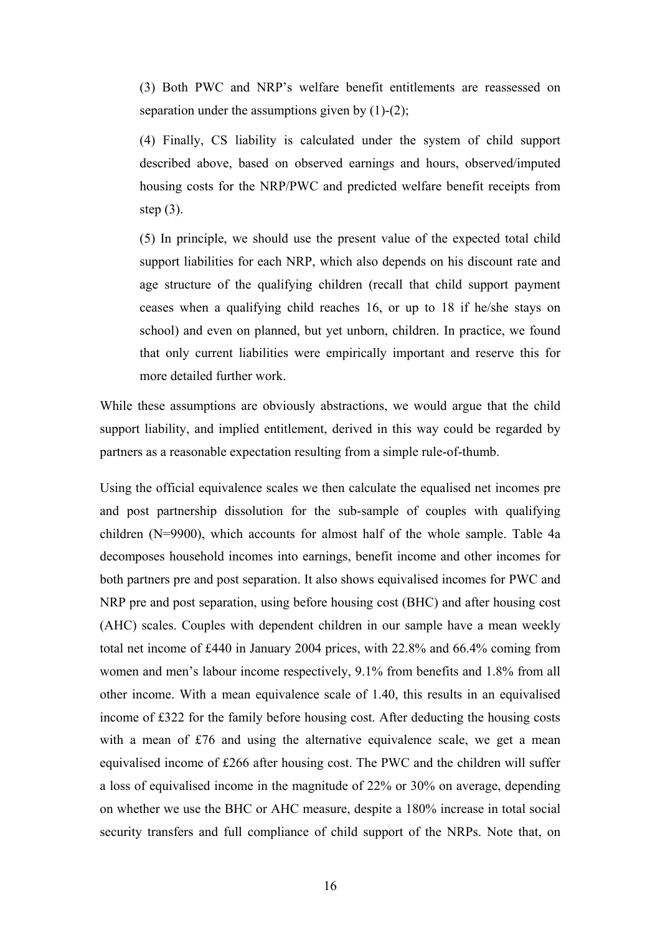(3) Both PWC and NRP's welfare benefit entitlements are reassessed on separation under the assumptions given by  $(1)-(2)$ ;

(4) Finally, CS liability is calculated under the system of child support described above, based on observed earnings and hours, observed/imputed housing costs for the NRP/PWC and predicted welfare benefit receipts from step (3).

(5) In principle, we should use the present value of the expected total child support liabilities for each NRP, which also depends on his discount rate and age structure of the qualifying children (recall that child support payment ceases when a qualifying child reaches 16, or up to 18 if he/she stays on school) and even on planned, but yet unborn, children. In practice, we found that only current liabilities were empirically important and reserve this for more detailed further work.

While these assumptions are obviously abstractions, we would argue that the child support liability, and implied entitlement, derived in this way could be regarded by partners as a reasonable expectation resulting from a simple rule-of-thumb.

Using the official equivalence scales we then calculate the equalised net incomes pre and post partnership dissolution for the sub-sample of couples with qualifying children (N=9900), which accounts for almost half of the whole sample. Table 4a decomposes household incomes into earnings, benefit income and other incomes for both partners pre and post separation. It also shows equivalised incomes for PWC and NRP pre and post separation, using before housing cost (BHC) and after housing cost (AHC) scales. Couples with dependent children in our sample have a mean weekly total net income of £440 in January 2004 prices, with 22.8% and 66.4% coming from women and men's labour income respectively, 9.1% from benefits and 1.8% from all other income. With a mean equivalence scale of 1.40, this results in an equivalised income of £322 for the family before housing cost. After deducting the housing costs with a mean of £76 and using the alternative equivalence scale, we get a mean equivalised income of £266 after housing cost. The PWC and the children will suffer a loss of equivalised income in the magnitude of 22% or 30% on average, depending on whether we use the BHC or AHC measure, despite a 180% increase in total social security transfers and full compliance of child support of the NRPs. Note that, on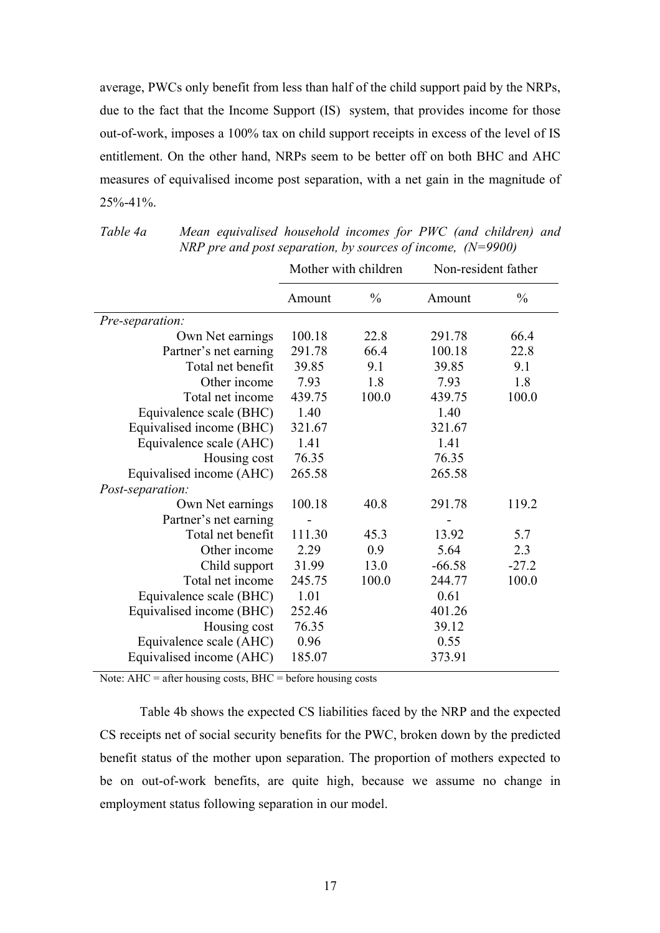average, PWCs only benefit from less than half of the child support paid by the NRPs, due to the fact that the Income Support (IS) system, that provides income for those out-of-work, imposes a 100% tax on child support receipts in excess of the level of IS entitlement. On the other hand, NRPs seem to be better off on both BHC and AHC measures of equivalised income post separation, with a net gain in the magnitude of  $25\% - 41\%$ 

*Table 4a Mean equivalised household incomes for PWC (and children) and NRP pre and post separation, by sources of income, (N=9900)* 

|                          | Mother with children |               | Non-resident father |               |
|--------------------------|----------------------|---------------|---------------------|---------------|
|                          | Amount               | $\frac{0}{0}$ | Amount              | $\frac{0}{0}$ |
| Pre-separation:          |                      |               |                     |               |
| Own Net earnings         | 100.18               | 22.8          | 291.78              | 66.4          |
| Partner's net earning    | 291.78               | 66.4          | 100.18              | 22.8          |
| Total net benefit        | 39.85                | 9.1           | 39.85               | 9.1           |
| Other income             | 7.93                 | 1.8           | 7.93                | 1.8           |
| Total net income         | 439.75               | 100.0         | 439.75              | 100.0         |
| Equivalence scale (BHC)  | 1.40                 |               | 1.40                |               |
| Equivalised income (BHC) | 321.67               |               | 321.67              |               |
| Equivalence scale (AHC)  | 1.41                 |               | 1.41                |               |
| Housing cost             | 76.35                |               | 76.35               |               |
| Equivalised income (AHC) | 265.58               |               | 265.58              |               |
| Post-separation:         |                      |               |                     |               |
| Own Net earnings         | 100.18               | 40.8          | 291.78              | 119.2         |
| Partner's net earning    |                      |               |                     |               |
| Total net benefit        | 111.30               | 45.3          | 13.92               | 5.7           |
| Other income             | 2.29                 | 0.9           | 5.64                | 2.3           |
| Child support            | 31.99                | 13.0          | $-66.58$            | $-27.2$       |
| Total net income         | 245.75               | 100.0         | 244.77              | 100.0         |
| Equivalence scale (BHC)  | 1.01                 |               | 0.61                |               |
| Equivalised income (BHC) | 252.46               |               | 401.26              |               |
| Housing cost             | 76.35                |               | 39.12               |               |
| Equivalence scale (AHC)  | 0.96                 |               | 0.55                |               |
| Equivalised income (AHC) | 185.07               |               | 373.91              |               |

Note: AHC = after housing costs, BHC = before housing costs

Table 4b shows the expected CS liabilities faced by the NRP and the expected CS receipts net of social security benefits for the PWC, broken down by the predicted benefit status of the mother upon separation. The proportion of mothers expected to be on out-of-work benefits, are quite high, because we assume no change in employment status following separation in our model.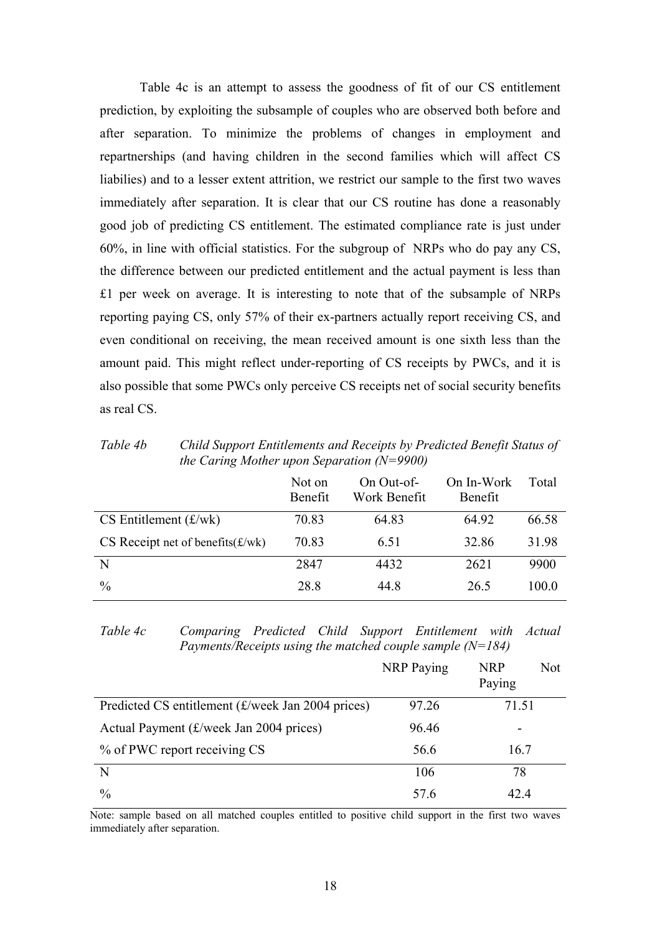Table 4c is an attempt to assess the goodness of fit of our CS entitlement prediction, by exploiting the subsample of couples who are observed both before and after separation. To minimize the problems of changes in employment and repartnerships (and having children in the second families which will affect CS liabilies) and to a lesser extent attrition, we restrict our sample to the first two waves immediately after separation. It is clear that our CS routine has done a reasonably good job of predicting CS entitlement. The estimated compliance rate is just under 60%, in line with official statistics. For the subgroup of NRPs who do pay any CS, the difference between our predicted entitlement and the actual payment is less than £1 per week on average. It is interesting to note that of the subsample of NRPs reporting paying CS, only 57% of their ex-partners actually report receiving CS, and even conditional on receiving, the mean received amount is one sixth less than the amount paid. This might reflect under-reporting of CS receipts by PWCs, and it is also possible that some PWCs only perceive CS receipts net of social security benefits as real CS.

| the Caring Mother upon Separation ( $N=9900$ ) |                   |                            |                       |       |
|------------------------------------------------|-------------------|----------------------------|-----------------------|-------|
|                                                | Not on<br>Benefit | On Out-of-<br>Work Benefit | On In-Work<br>Benefit | Total |
| $CS$ Entitlement $(f/wk)$                      | 70.83             | 64.83                      | 64.92                 | 66.58 |
| $CS$ Receipt net of benefits $(f/wk)$          | 70.83             | 6.51                       | 32.86                 | 31.98 |
| N                                              | 2847              | 4432                       | 2621                  | 9900  |
| $\frac{0}{0}$                                  | 28.8              | 44.8                       | 26.5                  | 100.0 |

*Table 4b Child Support Entitlements and Receipts by Predicted Benefit Status of* 

*Table 4c Comparing Predicted Child Support Entitlement with Actual Payments/Receipts using the matched couple sample (N=184)* 

|                                                   | <b>NRP</b> Paying | <b>NRP</b><br><b>Not</b><br>Paying |
|---------------------------------------------------|-------------------|------------------------------------|
| Predicted CS entitlement (£/week Jan 2004 prices) | 97.26             | 71.51                              |
| Actual Payment (£/week Jan 2004 prices)           | 96.46             |                                    |
| % of PWC report receiving CS                      | 56.6              | 16.7                               |
| N                                                 | 106               | 78                                 |
| $\frac{0}{0}$                                     | 57.6              | 42.4                               |

Note: sample based on all matched couples entitled to positive child support in the first two waves immediately after separation.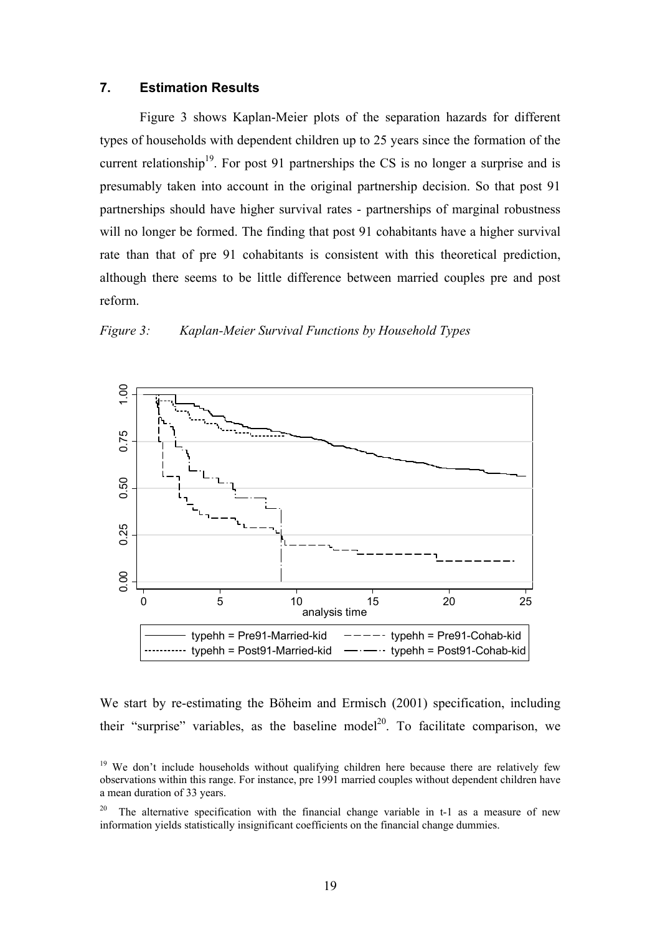### **7. Estimation Results**

Figure 3 shows Kaplan-Meier plots of the separation hazards for different types of households with dependent children up to 25 years since the formation of the current relationship<sup>19</sup>. For post 91 partnerships the CS is no longer a surprise and is presumably taken into account in the original partnership decision. So that post 91 partnerships should have higher survival rates - partnerships of marginal robustness will no longer be formed. The finding that post 91 cohabitants have a higher survival rate than that of pre 91 cohabitants is consistent with this theoretical prediction, although there seems to be little difference between married couples pre and post reform.





We start by re-estimating the Böheim and Ermisch (2001) specification, including their "surprise" variables, as the baseline model<sup>20</sup>. To facilitate comparison, we

analysis time

 $\cdots$  $\cdots$  typehh = Post91-Married-kid  $\cdots$   $\cdots$  typehh = Post91-Cohab-kid

 $typehh = Pre91-Married-kid$   $---$  typehh = Pre91-Cohab-kid

<sup>&</sup>lt;sup>19</sup> We don't include households without qualifying children here because there are relatively few observations within this range. For instance, pre 1991 married couples without dependent children have a mean duration of 33 years.

<sup>&</sup>lt;sup>20</sup> The alternative specification with the financial change variable in t-1 as a measure of new information yields statistically insignificant coefficients on the financial change dummies.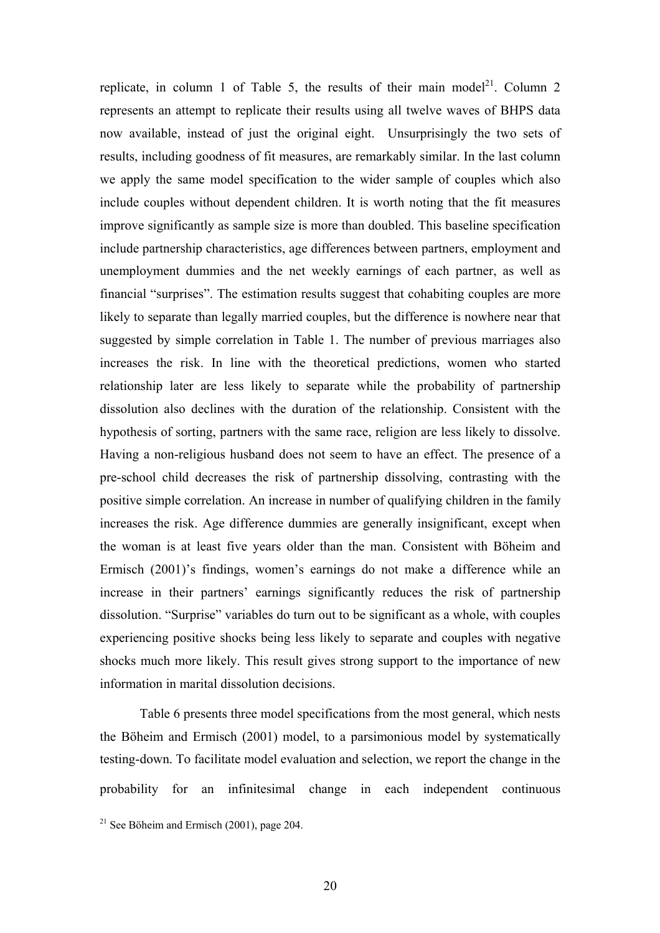replicate, in column 1 of Table 5, the results of their main model<sup>21</sup>. Column 2 represents an attempt to replicate their results using all twelve waves of BHPS data now available, instead of just the original eight. Unsurprisingly the two sets of results, including goodness of fit measures, are remarkably similar. In the last column we apply the same model specification to the wider sample of couples which also include couples without dependent children. It is worth noting that the fit measures improve significantly as sample size is more than doubled. This baseline specification include partnership characteristics, age differences between partners, employment and unemployment dummies and the net weekly earnings of each partner, as well as financial "surprises". The estimation results suggest that cohabiting couples are more likely to separate than legally married couples, but the difference is nowhere near that suggested by simple correlation in Table 1. The number of previous marriages also increases the risk. In line with the theoretical predictions, women who started relationship later are less likely to separate while the probability of partnership dissolution also declines with the duration of the relationship. Consistent with the hypothesis of sorting, partners with the same race, religion are less likely to dissolve. Having a non-religious husband does not seem to have an effect. The presence of a pre-school child decreases the risk of partnership dissolving, contrasting with the positive simple correlation. An increase in number of qualifying children in the family increases the risk. Age difference dummies are generally insignificant, except when the woman is at least five years older than the man. Consistent with Böheim and Ermisch (2001)'s findings, women's earnings do not make a difference while an increase in their partners' earnings significantly reduces the risk of partnership dissolution. "Surprise" variables do turn out to be significant as a whole, with couples experiencing positive shocks being less likely to separate and couples with negative shocks much more likely. This result gives strong support to the importance of new information in marital dissolution decisions.

Table 6 presents three model specifications from the most general, which nests the Böheim and Ermisch (2001) model, to a parsimonious model by systematically testing-down. To facilitate model evaluation and selection, we report the change in the probability for an infinitesimal change in each independent continuous <sup>21</sup> See Böheim and Ermisch (2001), page 204.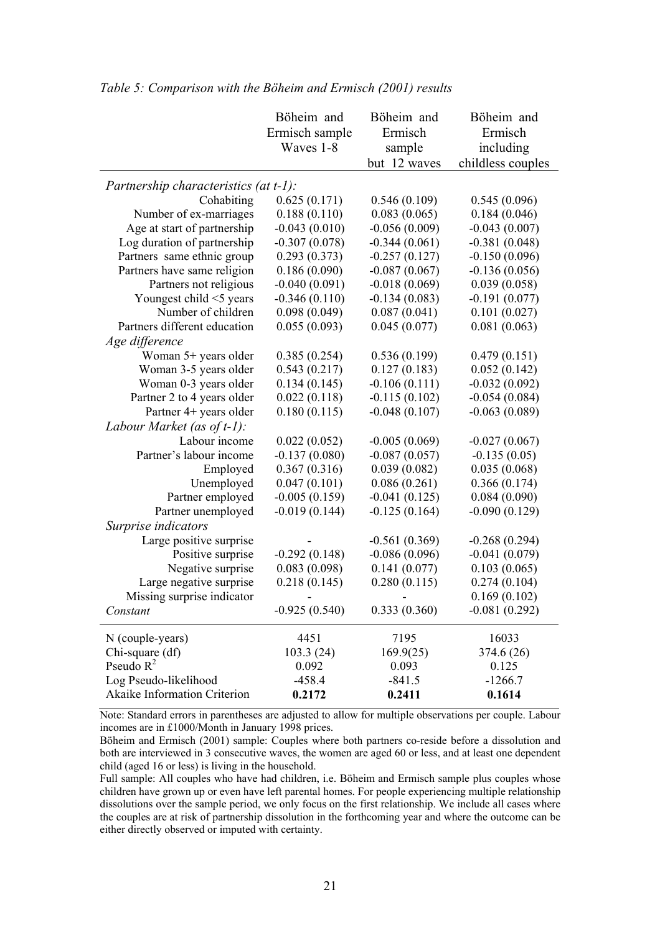| Ermisch<br>Ermisch<br>Ermisch sample<br>Waves 1-8<br>including<br>sample<br>but 12 waves<br>childless couples<br><i>Partnership characteristics (at t-1):</i><br>0.625(0.171)<br>0.546(0.109)<br>0.545(0.096)<br>Cohabiting<br>0.188(0.110)<br>0.083(0.065)<br>0.184(0.046)<br>Number of ex-marriages<br>Age at start of partnership<br>$-0.043(0.010)$<br>$-0.056(0.009)$<br>$-0.043(0.007)$<br>Log duration of partnership<br>$-0.307(0.078)$<br>$-0.344(0.061)$<br>$-0.381(0.048)$<br>Partners same ethnic group<br>0.293(0.373)<br>$-0.257(0.127)$<br>$-0.150(0.096)$<br>0.186(0.090)<br>$-0.087(0.067)$<br>Partners have same religion<br>$-0.136(0.056)$<br>Partners not religious<br>$-0.040(0.091)$<br>$-0.018(0.069)$<br>0.039(0.058)<br>Youngest child <5 years<br>$-0.346(0.110)$<br>$-0.134(0.083)$<br>$-0.191(0.077)$ |                    | Böheim and   | Böheim and   | Böheim and   |
|------------------------------------------------------------------------------------------------------------------------------------------------------------------------------------------------------------------------------------------------------------------------------------------------------------------------------------------------------------------------------------------------------------------------------------------------------------------------------------------------------------------------------------------------------------------------------------------------------------------------------------------------------------------------------------------------------------------------------------------------------------------------------------------------------------------------------------|--------------------|--------------|--------------|--------------|
|                                                                                                                                                                                                                                                                                                                                                                                                                                                                                                                                                                                                                                                                                                                                                                                                                                    |                    |              |              |              |
|                                                                                                                                                                                                                                                                                                                                                                                                                                                                                                                                                                                                                                                                                                                                                                                                                                    |                    |              |              |              |
|                                                                                                                                                                                                                                                                                                                                                                                                                                                                                                                                                                                                                                                                                                                                                                                                                                    |                    |              |              |              |
|                                                                                                                                                                                                                                                                                                                                                                                                                                                                                                                                                                                                                                                                                                                                                                                                                                    |                    |              |              |              |
|                                                                                                                                                                                                                                                                                                                                                                                                                                                                                                                                                                                                                                                                                                                                                                                                                                    |                    |              |              |              |
|                                                                                                                                                                                                                                                                                                                                                                                                                                                                                                                                                                                                                                                                                                                                                                                                                                    |                    |              |              |              |
|                                                                                                                                                                                                                                                                                                                                                                                                                                                                                                                                                                                                                                                                                                                                                                                                                                    |                    |              |              |              |
|                                                                                                                                                                                                                                                                                                                                                                                                                                                                                                                                                                                                                                                                                                                                                                                                                                    |                    |              |              |              |
|                                                                                                                                                                                                                                                                                                                                                                                                                                                                                                                                                                                                                                                                                                                                                                                                                                    |                    |              |              |              |
|                                                                                                                                                                                                                                                                                                                                                                                                                                                                                                                                                                                                                                                                                                                                                                                                                                    |                    |              |              |              |
|                                                                                                                                                                                                                                                                                                                                                                                                                                                                                                                                                                                                                                                                                                                                                                                                                                    |                    |              |              |              |
|                                                                                                                                                                                                                                                                                                                                                                                                                                                                                                                                                                                                                                                                                                                                                                                                                                    |                    |              |              |              |
|                                                                                                                                                                                                                                                                                                                                                                                                                                                                                                                                                                                                                                                                                                                                                                                                                                    |                    |              |              |              |
|                                                                                                                                                                                                                                                                                                                                                                                                                                                                                                                                                                                                                                                                                                                                                                                                                                    | Number of children | 0.098(0.049) | 0.087(0.041) | 0.101(0.027) |
| 0.081(0.063)<br>Partners different education<br>0.055(0.093)<br>0.045(0.077)                                                                                                                                                                                                                                                                                                                                                                                                                                                                                                                                                                                                                                                                                                                                                       |                    |              |              |              |
| Age difference                                                                                                                                                                                                                                                                                                                                                                                                                                                                                                                                                                                                                                                                                                                                                                                                                     |                    |              |              |              |
| Woman 5+ years older<br>0.385(0.254)<br>0.536(0.199)<br>0.479(0.151)                                                                                                                                                                                                                                                                                                                                                                                                                                                                                                                                                                                                                                                                                                                                                               |                    |              |              |              |
| 0.543(0.217)<br>0.127(0.183)<br>Woman 3-5 years older<br>0.052(0.142)                                                                                                                                                                                                                                                                                                                                                                                                                                                                                                                                                                                                                                                                                                                                                              |                    |              |              |              |
| Woman 0-3 years older<br>0.134(0.145)<br>$-0.106(0.111)$<br>$-0.032(0.092)$                                                                                                                                                                                                                                                                                                                                                                                                                                                                                                                                                                                                                                                                                                                                                        |                    |              |              |              |
| 0.022(0.118)<br>$-0.115(0.102)$<br>Partner 2 to 4 years older<br>$-0.054(0.084)$                                                                                                                                                                                                                                                                                                                                                                                                                                                                                                                                                                                                                                                                                                                                                   |                    |              |              |              |
| Partner 4+ years older<br>0.180(0.115)<br>$-0.048(0.107)$<br>$-0.063(0.089)$                                                                                                                                                                                                                                                                                                                                                                                                                                                                                                                                                                                                                                                                                                                                                       |                    |              |              |              |
| Labour Market (as of $t-1$ ):                                                                                                                                                                                                                                                                                                                                                                                                                                                                                                                                                                                                                                                                                                                                                                                                      |                    |              |              |              |
| Labour income<br>0.022(0.052)<br>$-0.005(0.069)$<br>$-0.027(0.067)$                                                                                                                                                                                                                                                                                                                                                                                                                                                                                                                                                                                                                                                                                                                                                                |                    |              |              |              |
| Partner's labour income<br>$-0.137(0.080)$<br>$-0.087(0.057)$<br>$-0.135(0.05)$                                                                                                                                                                                                                                                                                                                                                                                                                                                                                                                                                                                                                                                                                                                                                    |                    |              |              |              |
| 0.367(0.316)<br>0.039(0.082)<br>0.035(0.068)<br>Employed                                                                                                                                                                                                                                                                                                                                                                                                                                                                                                                                                                                                                                                                                                                                                                           |                    |              |              |              |
| Unemployed<br>0.047(0.101)<br>0.086(0.261)<br>0.366(0.174)                                                                                                                                                                                                                                                                                                                                                                                                                                                                                                                                                                                                                                                                                                                                                                         |                    |              |              |              |
| Partner employed<br>$-0.005(0.159)$<br>$-0.041(0.125)$<br>0.084(0.090)                                                                                                                                                                                                                                                                                                                                                                                                                                                                                                                                                                                                                                                                                                                                                             |                    |              |              |              |
| Partner unemployed<br>$-0.019(0.144)$<br>$-0.125(0.164)$<br>$-0.090(0.129)$                                                                                                                                                                                                                                                                                                                                                                                                                                                                                                                                                                                                                                                                                                                                                        |                    |              |              |              |
| Surprise indicators                                                                                                                                                                                                                                                                                                                                                                                                                                                                                                                                                                                                                                                                                                                                                                                                                |                    |              |              |              |
| Large positive surprise<br>$-0.561(0.369)$<br>$-0.268(0.294)$                                                                                                                                                                                                                                                                                                                                                                                                                                                                                                                                                                                                                                                                                                                                                                      |                    |              |              |              |
| Positive surprise<br>$-0.086(0.096)$<br>$-0.041(0.079)$<br>$-0.292(0.148)$                                                                                                                                                                                                                                                                                                                                                                                                                                                                                                                                                                                                                                                                                                                                                         |                    |              |              |              |
| Negative surprise<br>0.083(0.098)<br>0.141(0.077)<br>0.103(0.065)                                                                                                                                                                                                                                                                                                                                                                                                                                                                                                                                                                                                                                                                                                                                                                  |                    |              |              |              |
| Large negative surprise<br>0.218(0.145)<br>0.280(0.115)<br>0.274(0.104)                                                                                                                                                                                                                                                                                                                                                                                                                                                                                                                                                                                                                                                                                                                                                            |                    |              |              |              |
| Missing surprise indicator<br>0.169(0.102)                                                                                                                                                                                                                                                                                                                                                                                                                                                                                                                                                                                                                                                                                                                                                                                         |                    |              |              |              |
| $-0.925(0.540)$<br>0.333(0.360)<br>$-0.081(0.292)$<br>Constant                                                                                                                                                                                                                                                                                                                                                                                                                                                                                                                                                                                                                                                                                                                                                                     |                    |              |              |              |
|                                                                                                                                                                                                                                                                                                                                                                                                                                                                                                                                                                                                                                                                                                                                                                                                                                    |                    |              |              |              |
| 7195<br>16033<br>N (couple-years)<br>4451                                                                                                                                                                                                                                                                                                                                                                                                                                                                                                                                                                                                                                                                                                                                                                                          |                    |              |              |              |
| Chi-square (df)<br>103.3 (24)<br>169.9(25)<br>374.6 (26)                                                                                                                                                                                                                                                                                                                                                                                                                                                                                                                                                                                                                                                                                                                                                                           |                    |              |              |              |
| Pseudo $R^2$<br>0.092<br>0.093<br>0.125                                                                                                                                                                                                                                                                                                                                                                                                                                                                                                                                                                                                                                                                                                                                                                                            |                    |              |              |              |
| Log Pseudo-likelihood<br>$-458.4$<br>$-841.5$<br>$-1266.7$                                                                                                                                                                                                                                                                                                                                                                                                                                                                                                                                                                                                                                                                                                                                                                         |                    |              |              |              |
| <b>Akaike Information Criterion</b><br>0.2172<br>0.2411<br>0.1614                                                                                                                                                                                                                                                                                                                                                                                                                                                                                                                                                                                                                                                                                                                                                                  |                    |              |              |              |

*Table 5: Comparison with the Böheim and Ermisch (2001) results* 

Note: Standard errors in parentheses are adjusted to allow for multiple observations per couple. Labour incomes are in £1000/Month in January 1998 prices.

Böheim and Ermisch (2001) sample: Couples where both partners co-reside before a dissolution and both are interviewed in 3 consecutive waves, the women are aged 60 or less, and at least one dependent child (aged 16 or less) is living in the household.

Full sample: All couples who have had children, i.e. Böheim and Ermisch sample plus couples whose children have grown up or even have left parental homes. For people experiencing multiple relationship dissolutions over the sample period, we only focus on the first relationship. We include all cases where the couples are at risk of partnership dissolution in the forthcoming year and where the outcome can be either directly observed or imputed with certainty.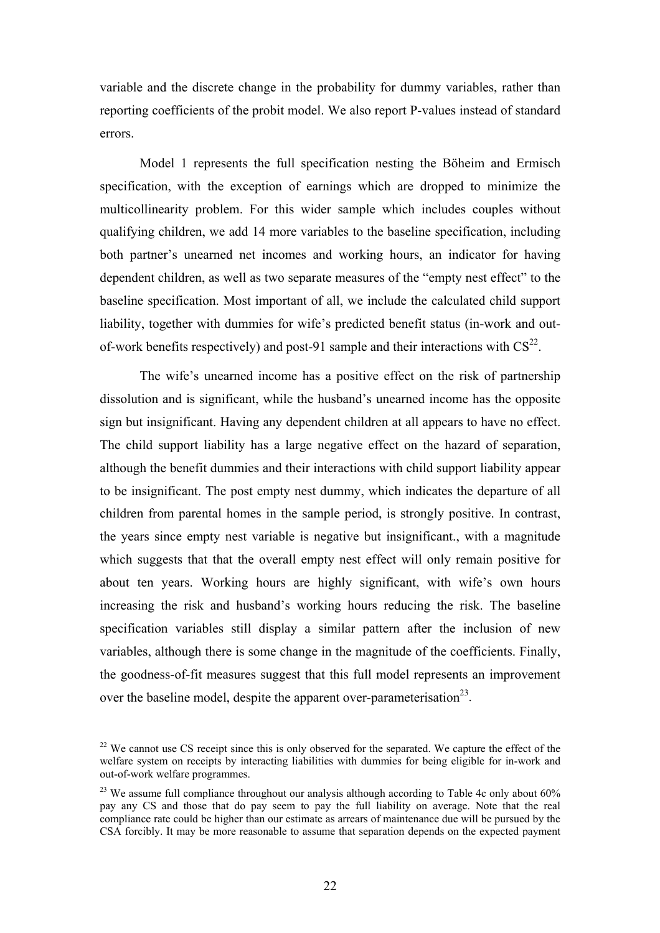variable and the discrete change in the probability for dummy variables, rather than reporting coefficients of the probit model. We also report P-values instead of standard errors.

Model 1 represents the full specification nesting the Böheim and Ermisch specification, with the exception of earnings which are dropped to minimize the multicollinearity problem. For this wider sample which includes couples without qualifying children, we add 14 more variables to the baseline specification, including both partner's unearned net incomes and working hours, an indicator for having dependent children, as well as two separate measures of the "empty nest effect" to the baseline specification. Most important of all, we include the calculated child support liability, together with dummies for wife's predicted benefit status (in-work and outof-work benefits respectively) and post-91 sample and their interactions with  $CS^{22}$ .

The wife's unearned income has a positive effect on the risk of partnership dissolution and is significant, while the husband's unearned income has the opposite sign but insignificant. Having any dependent children at all appears to have no effect. The child support liability has a large negative effect on the hazard of separation, although the benefit dummies and their interactions with child support liability appear to be insignificant. The post empty nest dummy, which indicates the departure of all children from parental homes in the sample period, is strongly positive. In contrast, the years since empty nest variable is negative but insignificant., with a magnitude which suggests that that the overall empty nest effect will only remain positive for about ten years. Working hours are highly significant, with wife's own hours increasing the risk and husband's working hours reducing the risk. The baseline specification variables still display a similar pattern after the inclusion of new variables, although there is some change in the magnitude of the coefficients. Finally, the goodness-of-fit measures suggest that this full model represents an improvement over the baseline model, despite the apparent over-parameterisation<sup>23</sup>.

 $22$  We cannot use CS receipt since this is only observed for the separated. We capture the effect of the welfare system on receipts by interacting liabilities with dummies for being eligible for in-work and out-of-work welfare programmes.

<sup>&</sup>lt;sup>23</sup> We assume full compliance throughout our analysis although according to Table 4c only about  $60\%$ pay any CS and those that do pay seem to pay the full liability on average. Note that the real compliance rate could be higher than our estimate as arrears of maintenance due will be pursued by the CSA forcibly. It may be more reasonable to assume that separation depends on the expected payment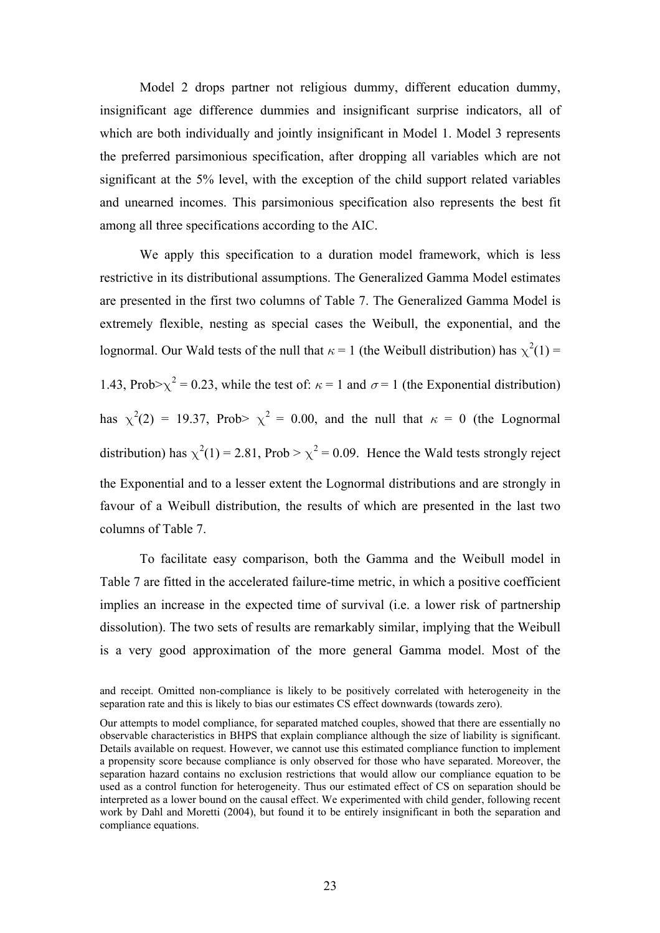Model 2 drops partner not religious dummy, different education dummy, insignificant age difference dummies and insignificant surprise indicators, all of which are both individually and jointly insignificant in Model 1. Model 3 represents the preferred parsimonious specification, after dropping all variables which are not significant at the 5% level, with the exception of the child support related variables and unearned incomes. This parsimonious specification also represents the best fit among all three specifications according to the AIC.

We apply this specification to a duration model framework, which is less restrictive in its distributional assumptions. The Generalized Gamma Model estimates are presented in the first two columns of Table 7. The Generalized Gamma Model is extremely flexible, nesting as special cases the Weibull, the exponential, and the lognormal. Our Wald tests of the null that  $\kappa = 1$  (the Weibull distribution) has  $\chi^2(1) =$ 1.43, Prob> $\chi^2$  = 0.23, while the test of:  $\kappa$  = 1 and  $\sigma$  = 1 (the Exponential distribution) has  $\chi^2(2) = 19.37$ , Prob $> \chi^2 = 0.00$ , and the null that  $\kappa = 0$  (the Lognormal distribution) has  $\chi^2(1) = 2.81$ , Prob  $> \chi^2 = 0.09$ . Hence the Wald tests strongly reject the Exponential and to a lesser extent the Lognormal distributions and are strongly in favour of a Weibull distribution, the results of which are presented in the last two columns of Table 7.

To facilitate easy comparison, both the Gamma and the Weibull model in Table 7 are fitted in the accelerated failure-time metric, in which a positive coefficient implies an increase in the expected time of survival (i.e. a lower risk of partnership dissolution). The two sets of results are remarkably similar, implying that the Weibull is a very good approximation of the more general Gamma model. Most of the

and receipt. Omitted non-compliance is likely to be positively correlated with heterogeneity in the separation rate and this is likely to bias our estimates CS effect downwards (towards zero).

Our attempts to model compliance, for separated matched couples, showed that there are essentially no observable characteristics in BHPS that explain compliance although the size of liability is significant. Details available on request. However, we cannot use this estimated compliance function to implement a propensity score because compliance is only observed for those who have separated. Moreover, the separation hazard contains no exclusion restrictions that would allow our compliance equation to be used as a control function for heterogeneity. Thus our estimated effect of CS on separation should be interpreted as a lower bound on the causal effect. We experimented with child gender, following recent work by Dahl and Moretti (2004), but found it to be entirely insignificant in both the separation and compliance equations.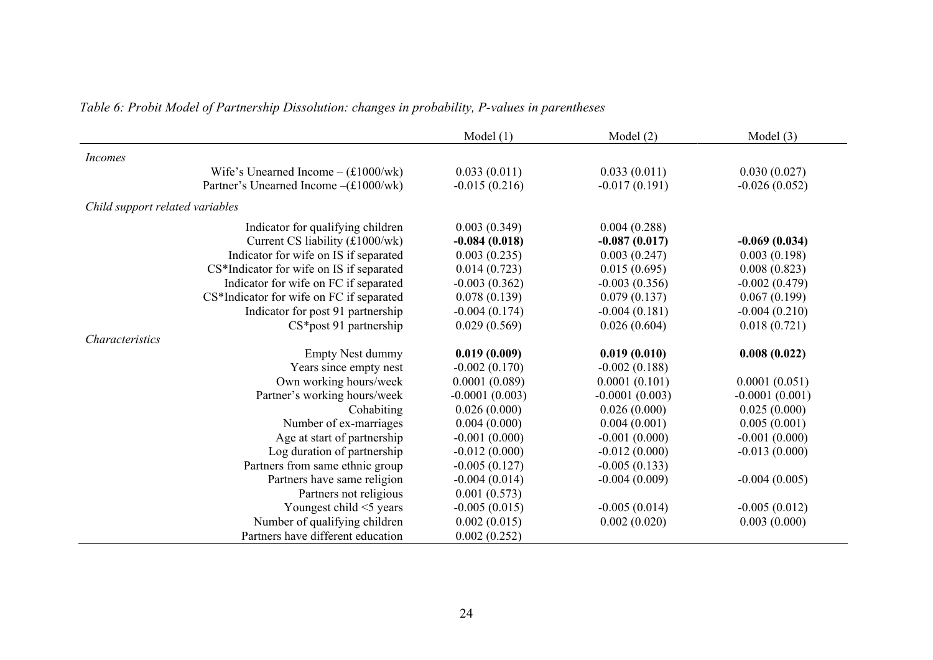|                                                      | Model $(1)$      | Model $(2)$      | Model $(3)$      |
|------------------------------------------------------|------------------|------------------|------------------|
| <i>Incomes</i>                                       |                  |                  |                  |
| Wife's Unearned Income $-(\pounds1000/\text{wk})$    | 0.033(0.011)     | 0.033(0.011)     | 0.030(0.027)     |
| Partner's Unearned Income $-(\pounds1000/\text{wk})$ | $-0.015(0.216)$  | $-0.017(0.191)$  | $-0.026(0.052)$  |
| Child support related variables                      |                  |                  |                  |
| Indicator for qualifying children                    | 0.003(0.349)     | 0.004(0.288)     |                  |
| Current CS liability (£1000/wk)                      | $-0.084(0.018)$  | $-0.087(0.017)$  | $-0.069(0.034)$  |
| Indicator for wife on IS if separated                | 0.003(0.235)     | 0.003(0.247)     | 0.003(0.198)     |
| CS*Indicator for wife on IS if separated             | 0.014(0.723)     | 0.015(0.695)     | 0.008(0.823)     |
| Indicator for wife on FC if separated                | $-0.003(0.362)$  | $-0.003(0.356)$  | $-0.002(0.479)$  |
| CS*Indicator for wife on FC if separated             | 0.078(0.139)     | 0.079(0.137)     | 0.067(0.199)     |
| Indicator for post 91 partnership                    | $-0.004(0.174)$  | $-0.004(0.181)$  | $-0.004(0.210)$  |
| CS*post 91 partnership                               | 0.029(0.569)     | 0.026(0.604)     | 0.018(0.721)     |
| <b>Characteristics</b>                               |                  |                  |                  |
| <b>Empty Nest dummy</b>                              | 0.019(0.009)     | 0.019(0.010)     | 0.008(0.022)     |
| Years since empty nest                               | $-0.002(0.170)$  | $-0.002(0.188)$  |                  |
| Own working hours/week                               | 0.0001(0.089)    | 0.0001(0.101)    | 0.0001(0.051)    |
| Partner's working hours/week                         | $-0.0001(0.003)$ | $-0.0001(0.003)$ | $-0.0001(0.001)$ |
| Cohabiting                                           | 0.026(0.000)     | 0.026(0.000)     | 0.025(0.000)     |
| Number of ex-marriages                               | 0.004(0.000)     | 0.004(0.001)     | 0.005(0.001)     |
| Age at start of partnership                          | $-0.001(0.000)$  | $-0.001(0.000)$  | $-0.001(0.000)$  |
| Log duration of partnership                          | $-0.012(0.000)$  | $-0.012(0.000)$  | $-0.013(0.000)$  |
| Partners from same ethnic group                      | $-0.005(0.127)$  | $-0.005(0.133)$  |                  |
| Partners have same religion                          | $-0.004(0.014)$  | $-0.004(0.009)$  | $-0.004(0.005)$  |
| Partners not religious                               | 0.001(0.573)     |                  |                  |
| Youngest child <5 years                              | $-0.005(0.015)$  | $-0.005(0.014)$  | $-0.005(0.012)$  |
| Number of qualifying children                        | 0.002(0.015)     | 0.002(0.020)     | 0.003(0.000)     |
| Partners have different education                    | 0.002(0.252)     |                  |                  |

*Table 6: Probit Model of Partnership Dissolution: changes in probability, P-values in parentheses*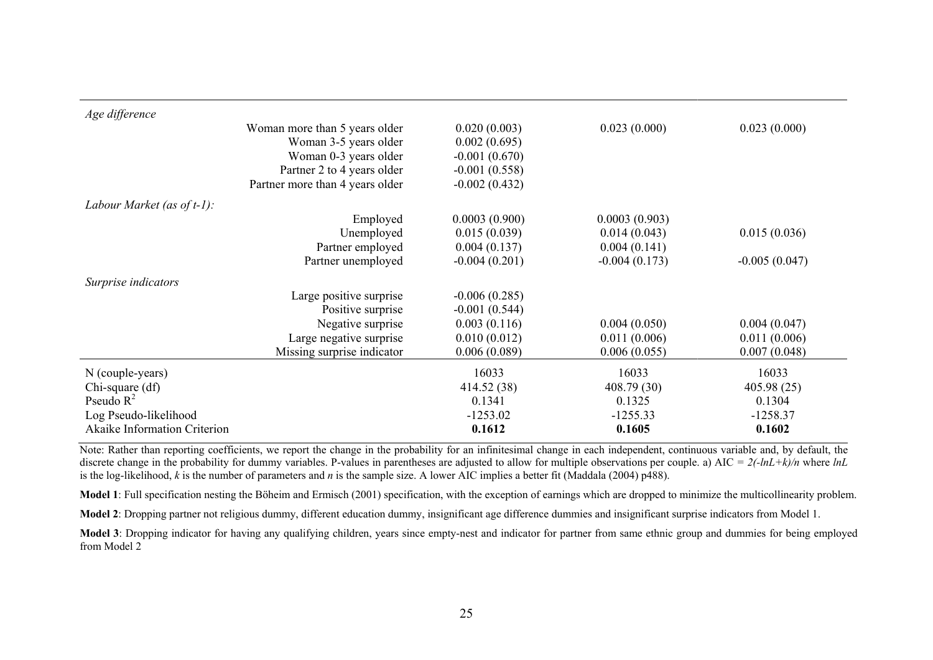| Age difference                      |                                 |                 |                 |                 |
|-------------------------------------|---------------------------------|-----------------|-----------------|-----------------|
|                                     | Woman more than 5 years older   | 0.020(0.003)    | 0.023(0.000)    | 0.023(0.000)    |
|                                     | Woman 3-5 years older           | 0.002(0.695)    |                 |                 |
|                                     | Woman 0-3 years older           | $-0.001(0.670)$ |                 |                 |
|                                     | Partner 2 to 4 years older      | $-0.001(0.558)$ |                 |                 |
|                                     | Partner more than 4 years older | $-0.002(0.432)$ |                 |                 |
| Labour Market (as of $t-1$ ):       |                                 |                 |                 |                 |
|                                     | Employed                        | 0.0003(0.900)   | 0.0003(0.903)   |                 |
|                                     | Unemployed                      | 0.015(0.039)    | 0.014(0.043)    | 0.015(0.036)    |
|                                     | Partner employed                | 0.004(0.137)    | 0.004(0.141)    |                 |
|                                     | Partner unemployed              | $-0.004(0.201)$ | $-0.004(0.173)$ | $-0.005(0.047)$ |
| Surprise indicators                 |                                 |                 |                 |                 |
|                                     | Large positive surprise         | $-0.006(0.285)$ |                 |                 |
|                                     | Positive surprise               | $-0.001(0.544)$ |                 |                 |
|                                     | Negative surprise               | 0.003(0.116)    | 0.004(0.050)    | 0.004(0.047)    |
|                                     | Large negative surprise         | 0.010(0.012)    | 0.011(0.006)    | 0.011(0.006)    |
|                                     | Missing surprise indicator      | 0.006(0.089)    | 0.006(0.055)    | 0.007(0.048)    |
| N (couple-years)                    |                                 | 16033           | 16033           | 16033           |
| Chi-square (df)                     |                                 | 414.52 (38)     | 408.79(30)      | 405.98(25)      |
| Pseudo $R^2$                        |                                 | 0.1341          | 0.1325          | 0.1304          |
| Log Pseudo-likelihood               |                                 | $-1253.02$      | $-1255.33$      | $-1258.37$      |
| <b>Akaike Information Criterion</b> |                                 | 0.1612          | 0.1605          | 0.1602          |

Note: Rather than reporting coefficients, we report the change in the probability for an infinitesimal change in each independent, continuous variable and, by default, the discrete change in the probability for dummy variables. P-values in parentheses are adjusted to allow for multiple observations per couple. a) AIC *= 2(-lnL+k)/n* where *lnL* is the log-likelihood, *k* is the number of parameters and *n* is the sample size. A lower AIC implies a better fit (Maddala (2004) p488).

**Model 1**: Full specification nesting the Böheim and Ermisch (2001) specification, with the exception of earnings which are dropped to minimize the multicollinearity problem.

**Model 2**: Dropping partner not religious dummy, different education dummy, insignificant age difference dummies and insignificant surprise indicators from Model 1.

**Model 3**: Dropping indicator for having any qualifying children, years since empty-nest and indicator for partner from same ethnic group and dummies for being employed from Model 2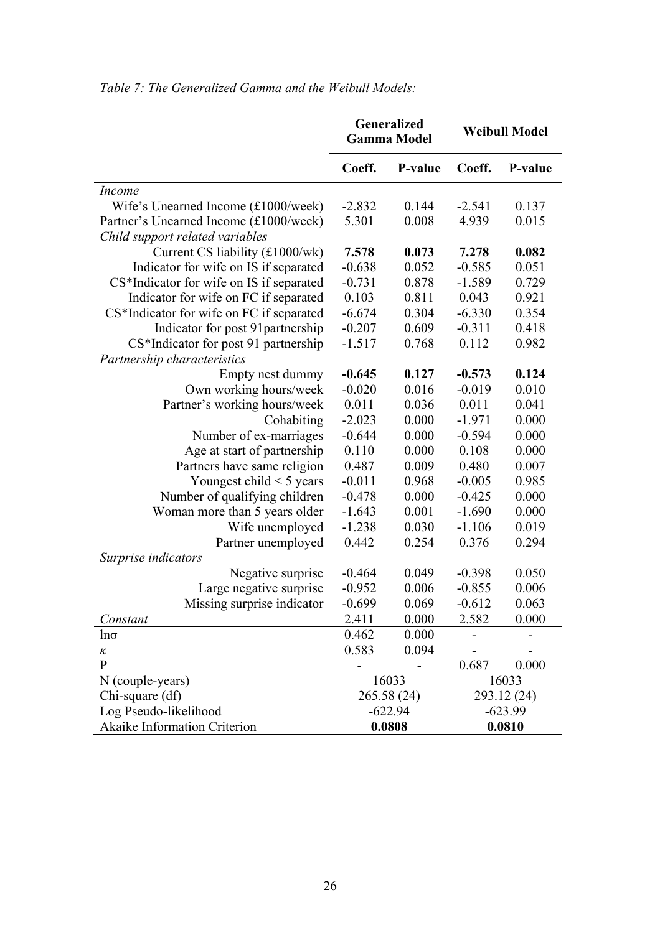|                                          |          | <b>Generalized</b><br><b>Gamma Model</b> |          | <b>Weibull Model</b> |  |  |
|------------------------------------------|----------|------------------------------------------|----------|----------------------|--|--|
|                                          | Coeff.   | P-value                                  | Coeff.   | P-value              |  |  |
| <i>Income</i>                            |          |                                          |          |                      |  |  |
| Wife's Unearned Income (£1000/week)      | $-2.832$ | 0.144                                    | $-2.541$ | 0.137                |  |  |
| Partner's Unearned Income (£1000/week)   | 5.301    | 0.008                                    | 4.939    | 0.015                |  |  |
| Child support related variables          |          |                                          |          |                      |  |  |
| Current CS liability (£1000/wk)          | 7.578    | 0.073                                    | 7.278    | 0.082                |  |  |
| Indicator for wife on IS if separated    | $-0.638$ | 0.052                                    | $-0.585$ | 0.051                |  |  |
| CS*Indicator for wife on IS if separated | $-0.731$ | 0.878                                    | $-1.589$ | 0.729                |  |  |
| Indicator for wife on FC if separated    | 0.103    | 0.811                                    | 0.043    | 0.921                |  |  |
| CS*Indicator for wife on FC if separated | $-6.674$ | 0.304                                    | $-6.330$ | 0.354                |  |  |
| Indicator for post 91partnership         | $-0.207$ | 0.609                                    | $-0.311$ | 0.418                |  |  |
| CS*Indicator for post 91 partnership     | $-1.517$ | 0.768                                    | 0.112    | 0.982                |  |  |
| Partnership characteristics              |          |                                          |          |                      |  |  |
| Empty nest dummy                         | $-0.645$ | 0.127                                    | $-0.573$ | 0.124                |  |  |
| Own working hours/week                   | $-0.020$ | 0.016                                    | $-0.019$ | 0.010                |  |  |
| Partner's working hours/week             | 0.011    | 0.036                                    | 0.011    | 0.041                |  |  |
| Cohabiting                               | $-2.023$ | 0.000                                    | $-1.971$ | 0.000                |  |  |
| Number of ex-marriages                   | $-0.644$ | 0.000                                    | $-0.594$ | 0.000                |  |  |
| Age at start of partnership              | 0.110    | 0.000                                    | 0.108    | 0.000                |  |  |
| Partners have same religion              | 0.487    | 0.009                                    | 0.480    | 0.007                |  |  |
| Youngest child $<$ 5 years               | $-0.011$ | 0.968                                    | $-0.005$ | 0.985                |  |  |
| Number of qualifying children            | $-0.478$ | 0.000                                    | $-0.425$ | 0.000                |  |  |
| Woman more than 5 years older            | $-1.643$ | 0.001                                    | $-1.690$ | 0.000                |  |  |
| Wife unemployed                          | $-1.238$ | 0.030                                    | $-1.106$ | 0.019                |  |  |
| Partner unemployed                       | 0.442    | 0.254                                    | 0.376    | 0.294                |  |  |
| Surprise indicators                      |          |                                          |          |                      |  |  |
| Negative surprise                        | $-0.464$ | 0.049                                    | $-0.398$ | 0.050                |  |  |
| Large negative surprise                  | $-0.952$ | 0.006                                    | $-0.855$ | 0.006                |  |  |
| Missing surprise indicator               | $-0.699$ | 0.069                                    | $-0.612$ | 0.063                |  |  |
| Constant                                 | 2.411    | 0.000                                    | 2.582    | 0.000                |  |  |
| $ln\sigma$                               | 0.462    | 0.000                                    |          |                      |  |  |
| κ                                        | 0.583    | 0.094                                    |          |                      |  |  |
| P                                        |          |                                          | 0.687    | 0.000                |  |  |
| N (couple-years)                         |          | 16033                                    |          | 16033                |  |  |
| Chi-square (df)                          |          | 265.58 (24)                              |          | 293.12 (24)          |  |  |
| Log Pseudo-likelihood                    |          | $-622.94$                                |          | $-623.99$            |  |  |
| <b>Akaike Information Criterion</b>      |          | 0.0808                                   |          | 0.0810               |  |  |

### *Table 7: The Generalized Gamma and the Weibull Models:*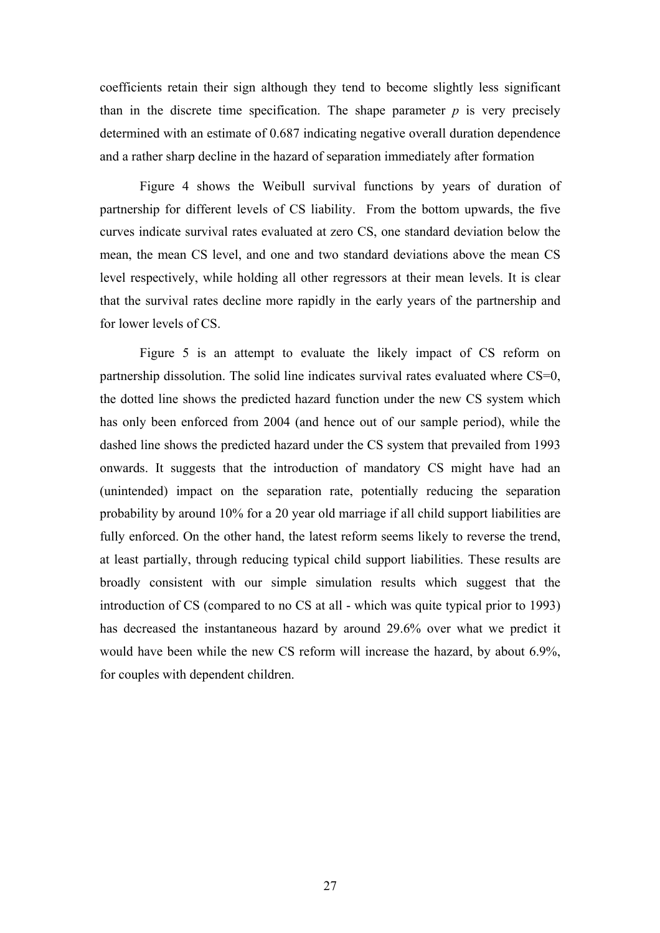coefficients retain their sign although they tend to become slightly less significant than in the discrete time specification. The shape parameter  $p$  is very precisely determined with an estimate of 0.687 indicating negative overall duration dependence and a rather sharp decline in the hazard of separation immediately after formation

Figure 4 shows the Weibull survival functions by years of duration of partnership for different levels of CS liability. From the bottom upwards, the five curves indicate survival rates evaluated at zero CS, one standard deviation below the mean, the mean CS level, and one and two standard deviations above the mean CS level respectively, while holding all other regressors at their mean levels. It is clear that the survival rates decline more rapidly in the early years of the partnership and for lower levels of CS.

Figure 5 is an attempt to evaluate the likely impact of CS reform on partnership dissolution. The solid line indicates survival rates evaluated where CS=0, the dotted line shows the predicted hazard function under the new CS system which has only been enforced from 2004 (and hence out of our sample period), while the dashed line shows the predicted hazard under the CS system that prevailed from 1993 onwards. It suggests that the introduction of mandatory CS might have had an (unintended) impact on the separation rate, potentially reducing the separation probability by around 10% for a 20 year old marriage if all child support liabilities are fully enforced. On the other hand, the latest reform seems likely to reverse the trend, at least partially, through reducing typical child support liabilities. These results are broadly consistent with our simple simulation results which suggest that the introduction of CS (compared to no CS at all - which was quite typical prior to 1993) has decreased the instantaneous hazard by around 29.6% over what we predict it would have been while the new CS reform will increase the hazard, by about 6.9%, for couples with dependent children.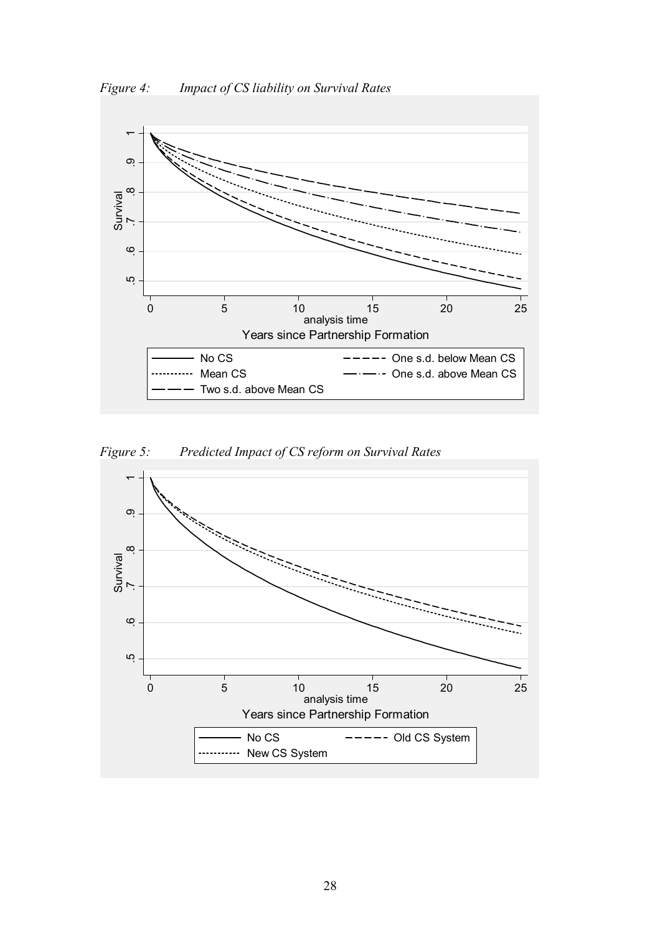

*Figure 5: Predicted Impact of CS reform on Survival Rates* 

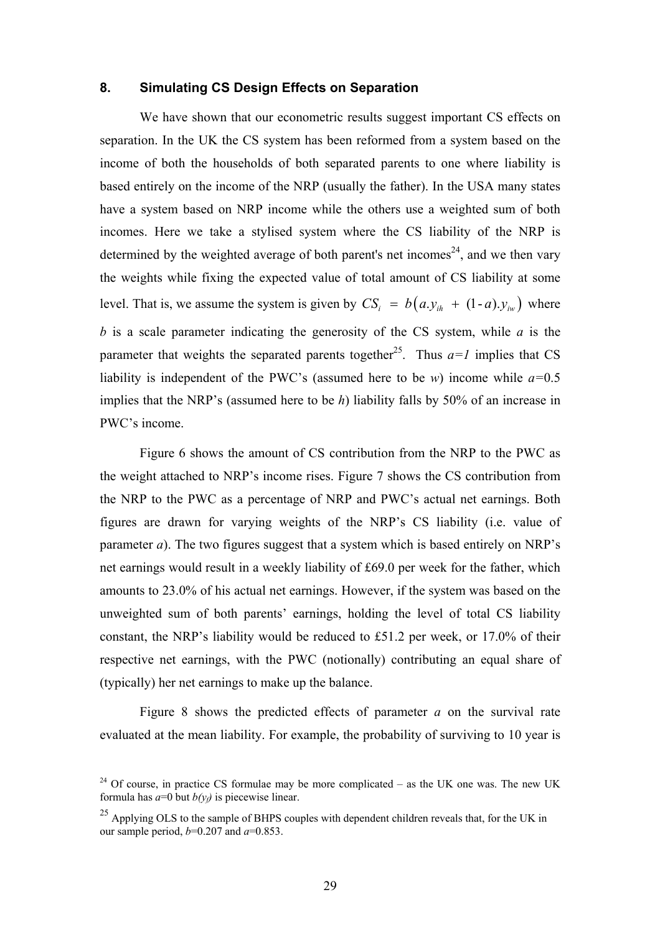#### **8. Simulating CS Design Effects on Separation**

We have shown that our econometric results suggest important CS effects on separation. In the UK the CS system has been reformed from a system based on the income of both the households of both separated parents to one where liability is based entirely on the income of the NRP (usually the father). In the USA many states have a system based on NRP income while the others use a weighted sum of both incomes. Here we take a stylised system where the CS liability of the NRP is determined by the weighted average of both parent's net incomes<sup>24</sup>, and we then vary the weights while fixing the expected value of total amount of CS liability at some level. That is, we assume the system is given by  $CS_i = b(a y_{i h} + (1-a)y_{i w})$  where *b* is a scale parameter indicating the generosity of the CS system, while *a* is the parameter that weights the separated parents together<sup>25</sup>. Thus  $a=1$  implies that CS liability is independent of the PWC's (assumed here to be *w*) income while *a=*0.5 implies that the NRP's (assumed here to be *h*) liability falls by 50% of an increase in PWC's income.

Figure 6 shows the amount of CS contribution from the NRP to the PWC as the weight attached to NRP's income rises. Figure 7 shows the CS contribution from the NRP to the PWC as a percentage of NRP and PWC's actual net earnings. Both figures are drawn for varying weights of the NRP's CS liability (i.e. value of parameter *a*). The two figures suggest that a system which is based entirely on NRP's net earnings would result in a weekly liability of £69.0 per week for the father, which amounts to 23.0% of his actual net earnings. However, if the system was based on the unweighted sum of both parents' earnings, holding the level of total CS liability constant, the NRP's liability would be reduced to £51.2 per week, or 17.0% of their respective net earnings, with the PWC (notionally) contributing an equal share of (typically) her net earnings to make up the balance.

Figure 8 shows the predicted effects of parameter *a* on the survival rate evaluated at the mean liability. For example, the probability of surviving to 10 year is

<sup>&</sup>lt;sup>24</sup> Of course, in practice CS formulae may be more complicated – as the UK one was. The new UK formula has  $a=0$  but  $b(y)$  is piecewise linear.

<sup>&</sup>lt;sup>25</sup> Applying OLS to the sample of BHPS couples with dependent children reveals that, for the UK in our sample period,  $b=0.207$  and  $a=0.853$ .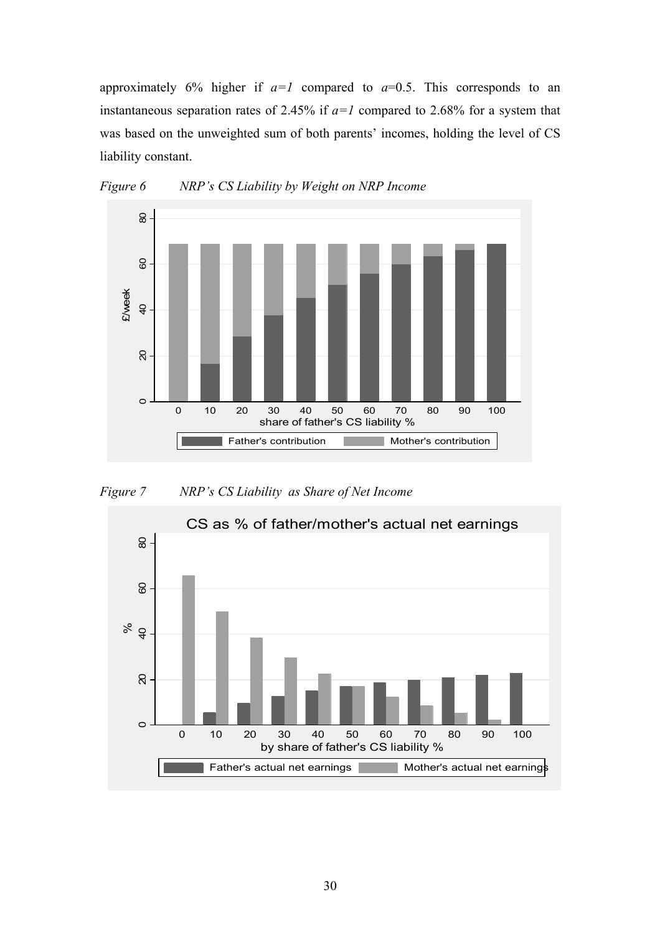approximately 6% higher if  $a=1$  compared to  $a=0.5$ . This corresponds to an instantaneous separation rates of 2.45% if  $a=1$  compared to 2.68% for a system that was based on the unweighted sum of both parents' incomes, holding the level of CS liability constant.



*Figure 6 NRP's CS Liability by Weight on NRP Income* 

*Figure 7 NRP's CS Liability as Share of Net Income* 

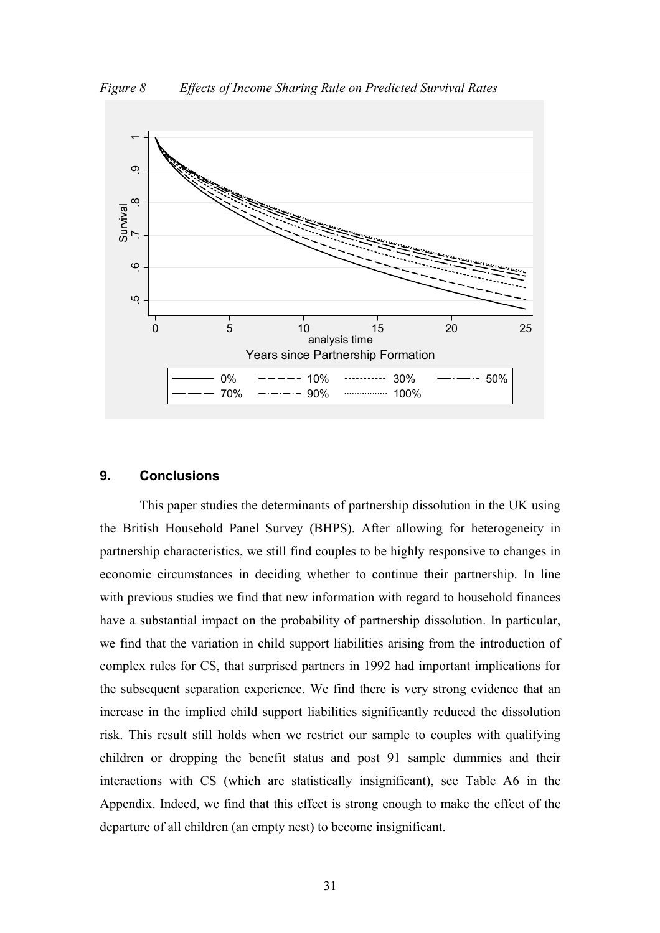

#### **9. Conclusions**

 This paper studies the determinants of partnership dissolution in the UK using the British Household Panel Survey (BHPS). After allowing for heterogeneity in partnership characteristics, we still find couples to be highly responsive to changes in economic circumstances in deciding whether to continue their partnership. In line with previous studies we find that new information with regard to household finances have a substantial impact on the probability of partnership dissolution. In particular, we find that the variation in child support liabilities arising from the introduction of complex rules for CS, that surprised partners in 1992 had important implications for the subsequent separation experience. We find there is very strong evidence that an increase in the implied child support liabilities significantly reduced the dissolution risk. This result still holds when we restrict our sample to couples with qualifying children or dropping the benefit status and post 91 sample dummies and their interactions with CS (which are statistically insignificant), see Table A6 in the Appendix. Indeed, we find that this effect is strong enough to make the effect of the departure of all children (an empty nest) to become insignificant.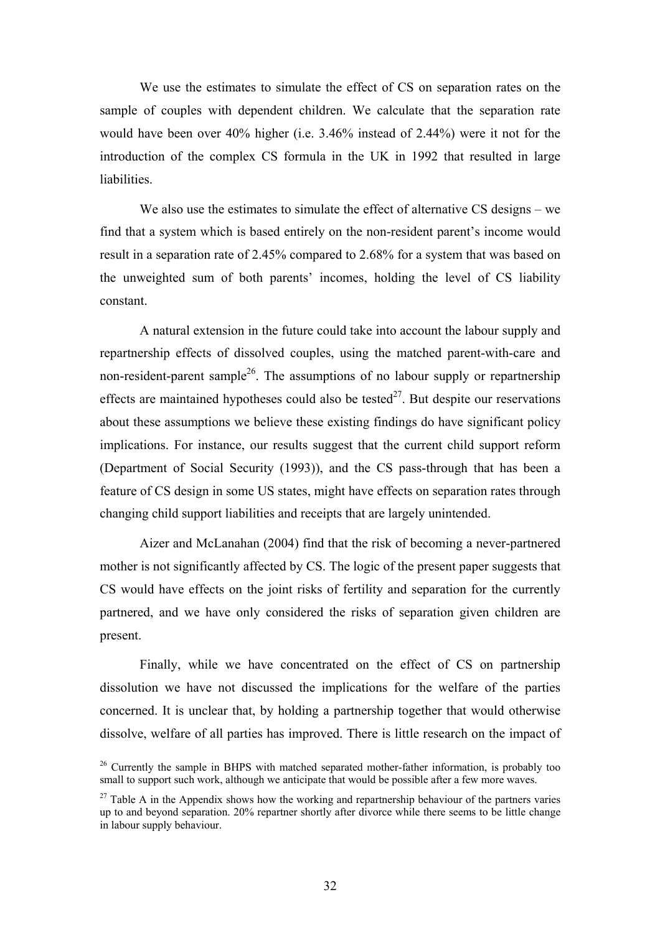We use the estimates to simulate the effect of CS on separation rates on the sample of couples with dependent children. We calculate that the separation rate would have been over 40% higher (i.e. 3.46% instead of 2.44%) were it not for the introduction of the complex CS formula in the UK in 1992 that resulted in large **liabilities** 

We also use the estimates to simulate the effect of alternative CS designs – we find that a system which is based entirely on the non-resident parent's income would result in a separation rate of 2.45% compared to 2.68% for a system that was based on the unweighted sum of both parents' incomes, holding the level of CS liability constant.

 A natural extension in the future could take into account the labour supply and repartnership effects of dissolved couples, using the matched parent-with-care and non-resident-parent sample<sup>26</sup>. The assumptions of no labour supply or repartnership effects are maintained hypotheses could also be tested $^{27}$ . But despite our reservations about these assumptions we believe these existing findings do have significant policy implications. For instance, our results suggest that the current child support reform (Department of Social Security (1993)), and the CS pass-through that has been a feature of CS design in some US states, might have effects on separation rates through changing child support liabilities and receipts that are largely unintended.

Aizer and McLanahan (2004) find that the risk of becoming a never-partnered mother is not significantly affected by CS. The logic of the present paper suggests that CS would have effects on the joint risks of fertility and separation for the currently partnered, and we have only considered the risks of separation given children are present.

Finally, while we have concentrated on the effect of CS on partnership dissolution we have not discussed the implications for the welfare of the parties concerned. It is unclear that, by holding a partnership together that would otherwise dissolve, welfare of all parties has improved. There is little research on the impact of

<sup>&</sup>lt;sup>26</sup> Currently the sample in BHPS with matched separated mother-father information, is probably too small to support such work, although we anticipate that would be possible after a few more waves.

 $27$  Table A in the Appendix shows how the working and repartnership behaviour of the partners varies up to and beyond separation. 20% repartner shortly after divorce while there seems to be little change in labour supply behaviour.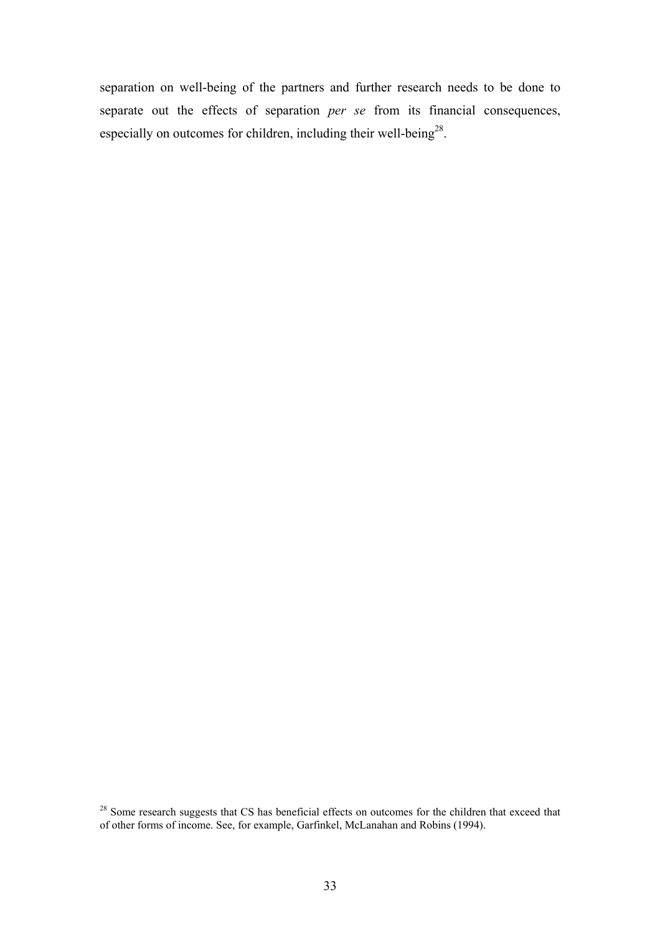separation on well-being of the partners and further research needs to be done to separate out the effects of separation *per se* from its financial consequences, especially on outcomes for children, including their well-being<sup>28</sup>.

<sup>&</sup>lt;sup>28</sup> Some research suggests that CS has beneficial effects on outcomes for the children that exceed that of other forms of income. See, for example, Garfinkel, McLanahan and Robins (1994).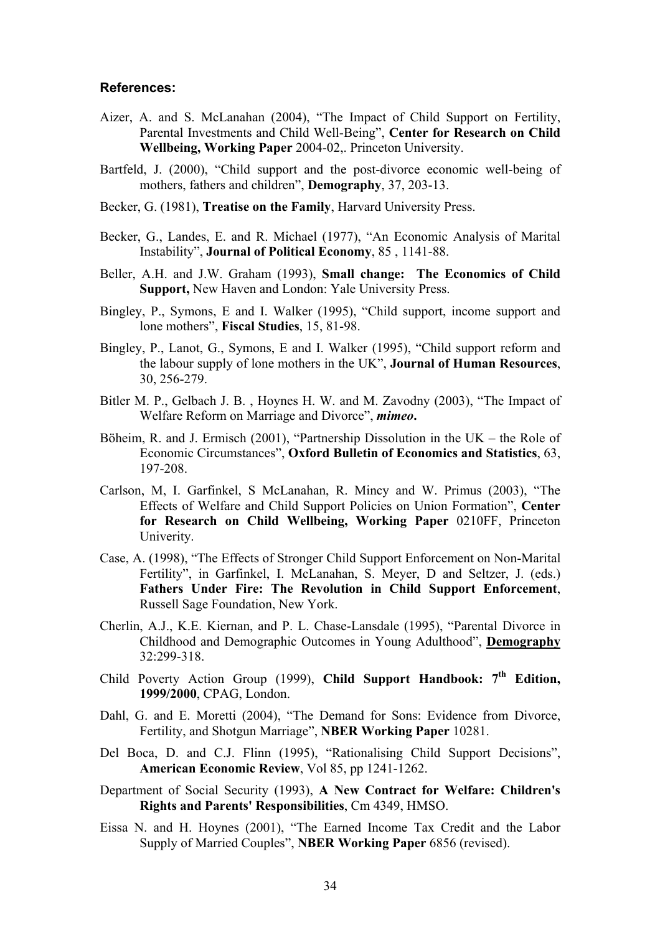#### **References:**

- Aizer, A. and S. McLanahan (2004), "The Impact of Child Support on Fertility, Parental Investments and Child Well-Being", **Center for Research on Child Wellbeing, Working Paper** 2004-02,. Princeton University.
- Bartfeld, J. (2000), "Child support and the post-divorce economic well-being of mothers, fathers and children", **Demography**, 37, 203-13.
- Becker, G. (1981), **Treatise on the Family**, Harvard University Press.
- Becker, G., Landes, E. and R. Michael (1977), "An Economic Analysis of Marital Instability", **Journal of Political Economy**, 85 , 1141-88.
- Beller, A.H. and J.W. Graham (1993), **Small change: The Economics of Child Support,** New Haven and London: Yale University Press.
- Bingley, P., Symons, E and I. Walker (1995), "Child support, income support and lone mothers", **Fiscal Studies**, 15, 81-98.
- Bingley, P., Lanot, G., Symons, E and I. Walker (1995), "Child support reform and the labour supply of lone mothers in the UK", **Journal of Human Resources**, 30, 256-279.
- Bitler M. P., Gelbach J. B. , Hoynes H. W. and M. Zavodny (2003), "The Impact of Welfare Reform on Marriage and Divorce", *mimeo***.**
- Böheim, R. and J. Ermisch (2001), "Partnership Dissolution in the UK the Role of Economic Circumstances", **Oxford Bulletin of Economics and Statistics**, 63, 197-208.
- Carlson, M, I. Garfinkel, S McLanahan, R. Mincy and W. Primus (2003), "The Effects of Welfare and Child Support Policies on Union Formation", **Center for Research on Child Wellbeing, Working Paper** 0210FF, Princeton Univerity.
- Case, A. (1998), "The Effects of Stronger Child Support Enforcement on Non-Marital Fertility", in Garfinkel, I. McLanahan, S. Meyer, D and Seltzer, J. (eds.) **Fathers Under Fire: The Revolution in Child Support Enforcement**, Russell Sage Foundation, New York.
- Cherlin, A.J., K.E. Kiernan, and P. L. Chase-Lansdale (1995), "Parental Divorce in Childhood and Demographic Outcomes in Young Adulthood", **Demography**  32:299-318.
- Child Poverty Action Group (1999), **Child Support Handbook: 7th Edition, 1999/2000**, CPAG, London.
- Dahl, G. and E. Moretti (2004), "The Demand for Sons: Evidence from Divorce, Fertility, and Shotgun Marriage", **NBER Working Paper** 10281.
- Del Boca, D. and C.J. Flinn (1995), "Rationalising Child Support Decisions", **American Economic Review**, Vol 85, pp 1241-1262.
- Department of Social Security (1993), **A New Contract for Welfare: Children's Rights and Parents' Responsibilities**, Cm 4349, HMSO.
- Eissa N. and H. Hoynes (2001), "The Earned Income Tax Credit and the Labor Supply of Married Couples", **NBER Working Paper** 6856 (revised).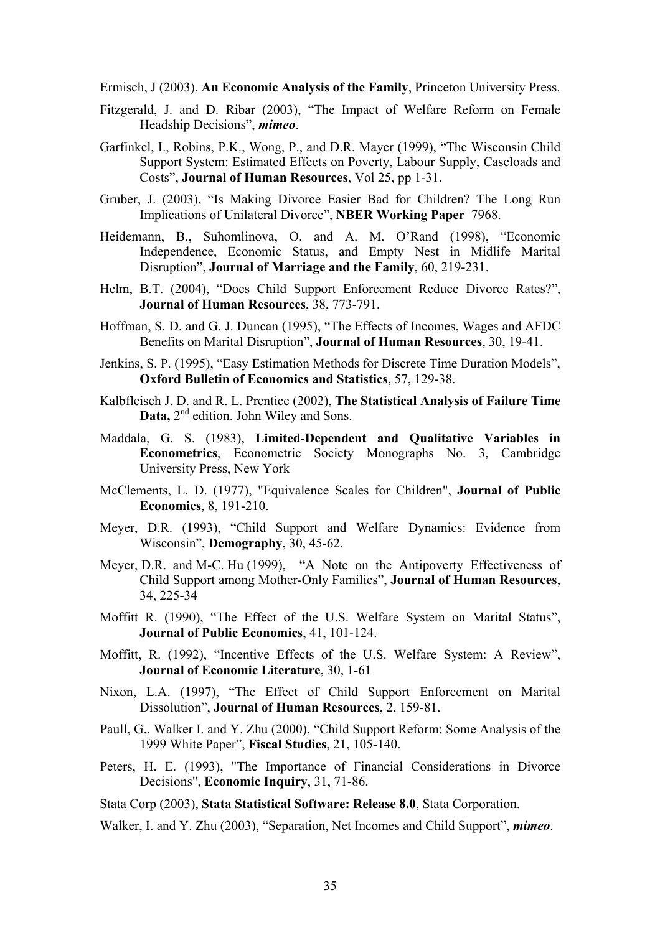Ermisch, J (2003), **An Economic Analysis of the Family**, Princeton University Press.

- Fitzgerald, J. and D. Ribar (2003), "The Impact of Welfare Reform on Female Headship Decisions", *mimeo*.
- Garfinkel, I., Robins, P.K., Wong, P., and D.R. Mayer (1999), "The Wisconsin Child Support System: Estimated Effects on Poverty, Labour Supply, Caseloads and Costs", **Journal of Human Resources**, Vol 25, pp 1-31.
- Gruber, J. (2003), "Is Making Divorce Easier Bad for Children? The Long Run Implications of Unilateral Divorce", **NBER Working Paper** 7968.
- Heidemann, B., Suhomlinova, O. and A. M. O'Rand (1998), "Economic Independence, Economic Status, and Empty Nest in Midlife Marital Disruption", **Journal of Marriage and the Family**, 60, 219-231.
- Helm, B.T. (2004), "Does Child Support Enforcement Reduce Divorce Rates?", **Journal of Human Resources**, 38, 773-791.
- Hoffman, S. D. and G. J. Duncan (1995), "The Effects of Incomes, Wages and AFDC Benefits on Marital Disruption", **Journal of Human Resources**, 30, 19-41.
- Jenkins, S. P. (1995), "Easy Estimation Methods for Discrete Time Duration Models", **Oxford Bulletin of Economics and Statistics**, 57, 129-38.
- Kalbfleisch J. D. and R. L. Prentice (2002), **The Statistical Analysis of Failure Time**  Data, 2<sup>nd</sup> edition. John Wiley and Sons.
- Maddala, G. S. (1983), **Limited-Dependent and Qualitative Variables in Econometrics**, Econometric Society Monographs No. 3, Cambridge University Press, New York
- McClements, L. D. (1977), "Equivalence Scales for Children", **Journal of Public Economics**, 8, 191-210.
- Meyer, D.R. (1993), "Child Support and Welfare Dynamics: Evidence from Wisconsin", **Demography**, 30, 45-62.
- Meyer, D.R. and M-C. Hu (1999), "A Note on the Antipoverty Effectiveness of Child Support among Mother-Only Families", **Journal of Human Resources**, 34, 225-34
- Moffitt R. (1990), "The Effect of the U.S. Welfare System on Marital Status", **Journal of Public Economics**, 41, 101-124.
- Moffitt, R. (1992), "Incentive Effects of the U.S. Welfare System: A Review", **Journal of Economic Literature**, 30, 1-61
- Nixon, L.A. (1997), "The Effect of Child Support Enforcement on Marital Dissolution", **Journal of Human Resources**, 2, 159-81.
- Paull, G., Walker I. and Y. Zhu (2000), "Child Support Reform: Some Analysis of the 1999 White Paper", **Fiscal Studies**, 21, 105-140.
- Peters, H. E. (1993), "The Importance of Financial Considerations in Divorce Decisions", **Economic Inquiry**, 31, 71-86.
- Stata Corp (2003), **Stata Statistical Software: Release 8.0**, Stata Corporation.
- Walker, I. and Y. Zhu (2003), "Separation, Net Incomes and Child Support", *mimeo*.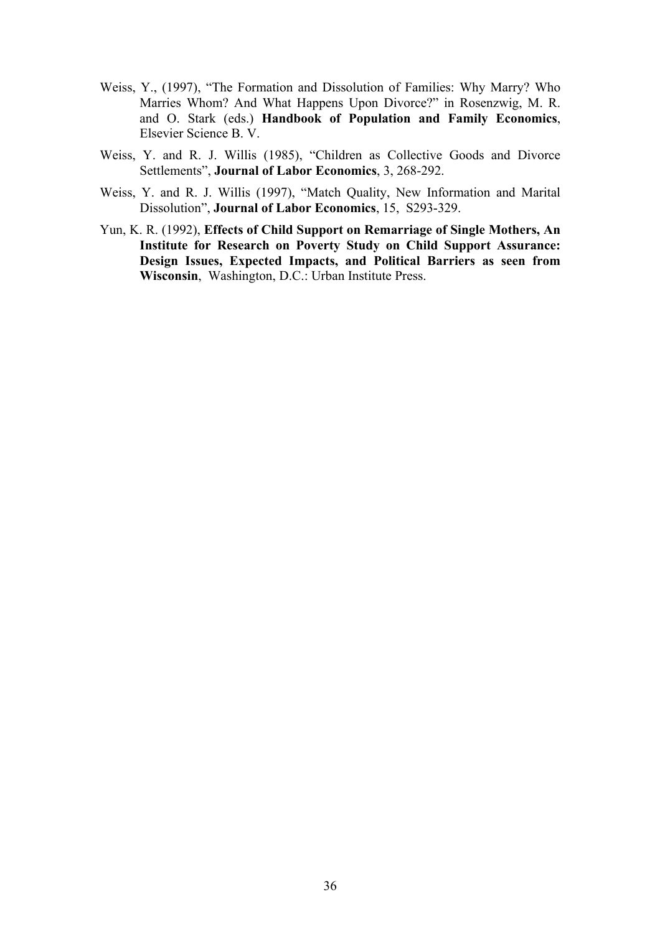- Weiss, Y., (1997), "The Formation and Dissolution of Families: Why Marry? Who Marries Whom? And What Happens Upon Divorce?" in Rosenzwig, M. R. and O. Stark (eds.) **Handbook of Population and Family Economics**, Elsevier Science B. V.
- Weiss, Y. and R. J. Willis (1985), "Children as Collective Goods and Divorce Settlements", **Journal of Labor Economics**, 3, 268-292.
- Weiss, Y. and R. J. Willis (1997), "Match Quality, New Information and Marital Dissolution", **Journal of Labor Economics**, 15, S293-329.
- Yun, K. R. (1992), **Effects of Child Support on Remarriage of Single Mothers, An Institute for Research on Poverty Study on Child Support Assurance: Design Issues, Expected Impacts, and Political Barriers as seen from Wisconsin**, Washington, D.C.: Urban Institute Press.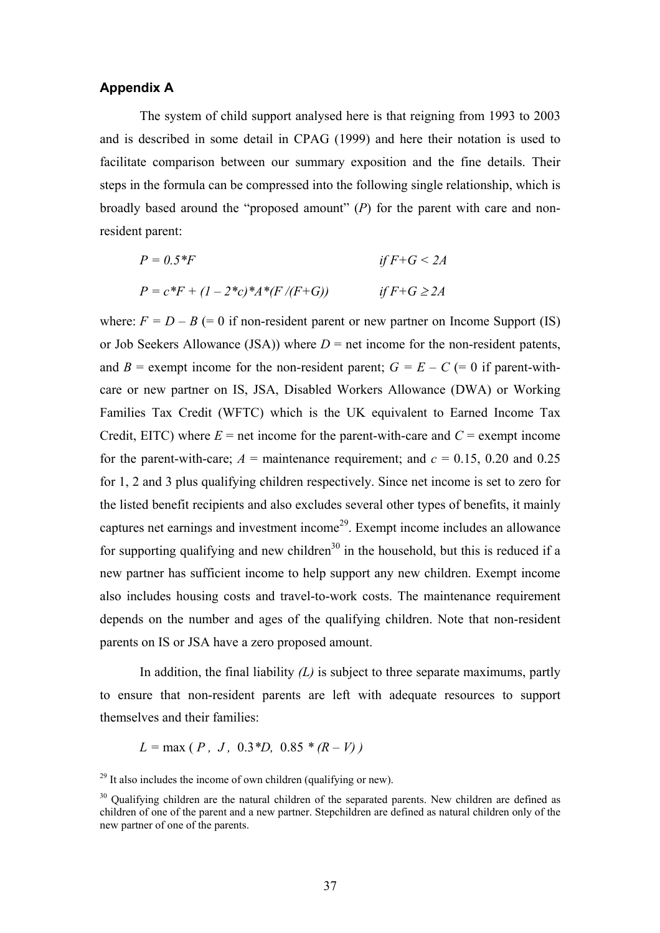### **Appendix A**

The system of child support analysed here is that reigning from 1993 to 2003 and is described in some detail in CPAG (1999) and here their notation is used to facilitate comparison between our summary exposition and the fine details. Their steps in the formula can be compressed into the following single relationship, which is broadly based around the "proposed amount" (*P*) for the parent with care and nonresident parent:

$$
P = 0.5*F
$$
  
\n
$$
if F+G < 2A
$$
  
\n
$$
P = c*F + (1 - 2*c)*A*(F/(F+G))
$$
  
\n
$$
if F+G \ge 2A
$$

where:  $F = D - B$  (= 0 if non-resident parent or new partner on Income Support (IS) or Job Seekers Allowance (JSA)) where  $D =$  net income for the non-resident patents, and  $B =$  exempt income for the non-resident parent;  $G = E - C$  (= 0 if parent-withcare or new partner on IS, JSA, Disabled Workers Allowance (DWA) or Working Families Tax Credit (WFTC) which is the UK equivalent to Earned Income Tax Credit, EITC) where  $E =$  net income for the parent-with-care and  $C =$  exempt income for the parent-with-care;  $A =$  maintenance requirement; and  $c = 0.15, 0.20$  and 0.25 for 1, 2 and 3 plus qualifying children respectively. Since net income is set to zero for the listed benefit recipients and also excludes several other types of benefits, it mainly captures net earnings and investment income<sup>29</sup>. Exempt income includes an allowance for supporting qualifying and new children<sup>30</sup> in the household, but this is reduced if a new partner has sufficient income to help support any new children. Exempt income also includes housing costs and travel-to-work costs. The maintenance requirement depends on the number and ages of the qualifying children. Note that non-resident parents on IS or JSA have a zero proposed amount.

In addition, the final liability *(L)* is subject to three separate maximums, partly to ensure that non-resident parents are left with adequate resources to support themselves and their families:

 $L = \max (P, J, 0.3 * D, 0.85 * (R - V))$ 

 $^{29}$  It also includes the income of own children (qualifying or new).

<sup>&</sup>lt;sup>30</sup> Qualifying children are the natural children of the separated parents. New children are defined as children of one of the parent and a new partner. Stepchildren are defined as natural children only of the new partner of one of the parents.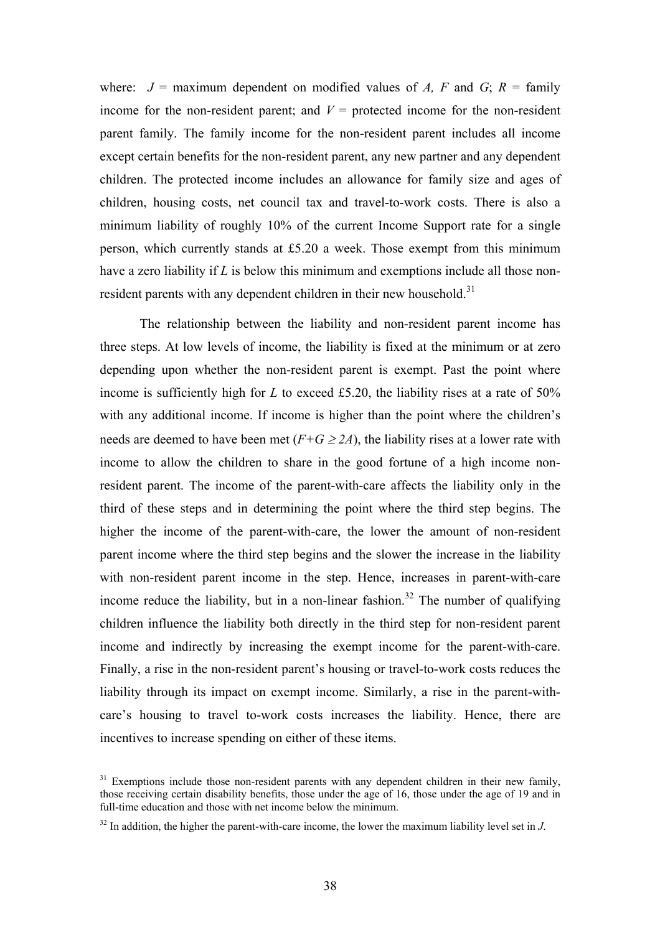where:  $J =$  maximum dependent on modified values of *A*, *F* and *G*;  $R =$  family income for the non-resident parent; and  $V =$  protected income for the non-resident parent family. The family income for the non-resident parent includes all income except certain benefits for the non-resident parent, any new partner and any dependent children. The protected income includes an allowance for family size and ages of children, housing costs, net council tax and travel-to-work costs. There is also a minimum liability of roughly 10% of the current Income Support rate for a single person, which currently stands at £5.20 a week. Those exempt from this minimum have a zero liability if *L* is below this minimum and exemptions include all those nonresident parents with any dependent children in their new household.<sup>31</sup>

The relationship between the liability and non-resident parent income has three steps. At low levels of income, the liability is fixed at the minimum or at zero depending upon whether the non-resident parent is exempt. Past the point where income is sufficiently high for *L* to exceed £5.20, the liability rises at a rate of 50% with any additional income. If income is higher than the point where the children's needs are deemed to have been met  $(F+G \geq 2A)$ , the liability rises at a lower rate with income to allow the children to share in the good fortune of a high income nonresident parent. The income of the parent-with-care affects the liability only in the third of these steps and in determining the point where the third step begins. The higher the income of the parent-with-care, the lower the amount of non-resident parent income where the third step begins and the slower the increase in the liability with non-resident parent income in the step. Hence, increases in parent-with-care income reduce the liability, but in a non-linear fashion.<sup>32</sup> The number of qualifying children influence the liability both directly in the third step for non-resident parent income and indirectly by increasing the exempt income for the parent-with-care. Finally, a rise in the non-resident parent's housing or travel-to-work costs reduces the liability through its impact on exempt income. Similarly, a rise in the parent-withcare's housing to travel to-work costs increases the liability. Hence, there are incentives to increase spending on either of these items.

 $31$  Exemptions include those non-resident parents with any dependent children in their new family, those receiving certain disability benefits, those under the age of 16, those under the age of 19 and in full-time education and those with net income below the minimum.

 $32$  In addition, the higher the parent-with-care income, the lower the maximum liability level set in *J*.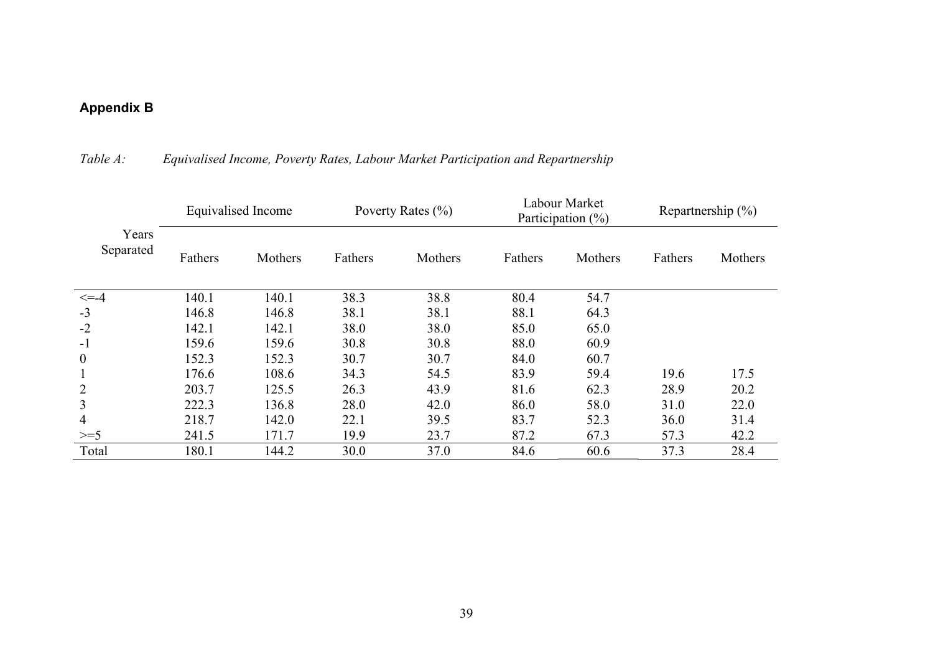# **Appendix B**

|                    |         | Labour Market<br>Equivalised Income<br>Poverty Rates $(\% )$<br>Participation $(\% )$ |         | Repartnership $(\% )$ |         |         |         |         |
|--------------------|---------|---------------------------------------------------------------------------------------|---------|-----------------------|---------|---------|---------|---------|
| Years<br>Separated | Fathers | Mothers                                                                               | Fathers | Mothers               | Fathers | Mothers | Fathers | Mothers |
| $\leq$ -4          | 140.1   | 140.1                                                                                 | 38.3    | 38.8                  | 80.4    | 54.7    |         |         |
| $-3$               | 146.8   | 146.8                                                                                 | 38.1    | 38.1                  | 88.1    | 64.3    |         |         |
| $-2$               | 142.1   | 142.1                                                                                 | 38.0    | 38.0                  | 85.0    | 65.0    |         |         |
| $-1$               | 159.6   | 159.6                                                                                 | 30.8    | 30.8                  | 88.0    | 60.9    |         |         |
| $\boldsymbol{0}$   | 152.3   | 152.3                                                                                 | 30.7    | 30.7                  | 84.0    | 60.7    |         |         |
|                    | 176.6   | 108.6                                                                                 | 34.3    | 54.5                  | 83.9    | 59.4    | 19.6    | 17.5    |
| 2                  | 203.7   | 125.5                                                                                 | 26.3    | 43.9                  | 81.6    | 62.3    | 28.9    | 20.2    |
| 3                  | 222.3   | 136.8                                                                                 | 28.0    | 42.0                  | 86.0    | 58.0    | 31.0    | 22.0    |
| 4                  | 218.7   | 142.0                                                                                 | 22.1    | 39.5                  | 83.7    | 52.3    | 36.0    | 31.4    |
| $\geq=5$           | 241.5   | 171.7                                                                                 | 19.9    | 23.7                  | 87.2    | 67.3    | 57.3    | 42.2    |
| Total              | 180.1   | 144.2                                                                                 | 30.0    | 37.0                  | 84.6    | 60.6    | 37.3    | 28.4    |

# *Table A: Equivalised Income, Poverty Rates, Labour Market Participation and Repartnership*